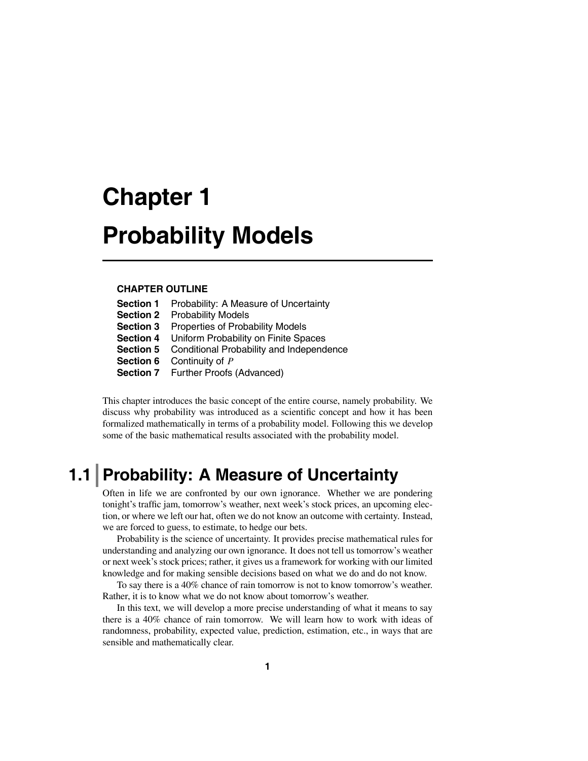#### **CHAPTER OUTLINE**

| <b>Section 1</b> Probability: A Measure of Uncertainty    |
|-----------------------------------------------------------|
| <b>Section 2</b> Probability Models                       |
| <b>Section 3</b> Properties of Probability Models         |
| <b>Section 4</b> Uniform Probability on Finite Spaces     |
| <b>Section 5</b> Conditional Probability and Independence |
| <b>Section 6</b> Continuity of $P$                        |
| <b>Section 7</b> Further Proofs (Advanced)                |

This chapter introduces the basic concept of the entire course, namely probability. We discuss why probability was introduced as a scientific concept and how it has been formalized mathematically in terms of a probability model. Following this we develop some of the basic mathematical results associated with the probability model.

# **1.1 Probability: A Measure of Uncertainty**

Often in life we are confronted by our own ignorance. Whether we are pondering tonight's traffic jam, tomorrow's weather, next week's stock prices, an upcoming election, or where we left our hat, often we do not know an outcome with certainty. Instead, we are forced to guess, to estimate, to hedge our bets.

Probability is the science of uncertainty. It provides precise mathematical rules for understanding and analyzing our own ignorance. It does not tell us tomorrow's weather or next week's stock prices; rather, it gives us a framework for working with our limited knowledge and for making sensible decisions based on what we do and do not know.

To say there is a 40% chance of rain tomorrow is not to know tomorrow's weather. Rather, it is to know what we do not know about tomorrow's weather.

In this text, we will develop a more precise understanding of what it means to say there is a 40% chance of rain tomorrow. We will learn how to work with ideas of randomness, probability, expected value, prediction, estimation, etc., in ways that are sensible and mathematically clear.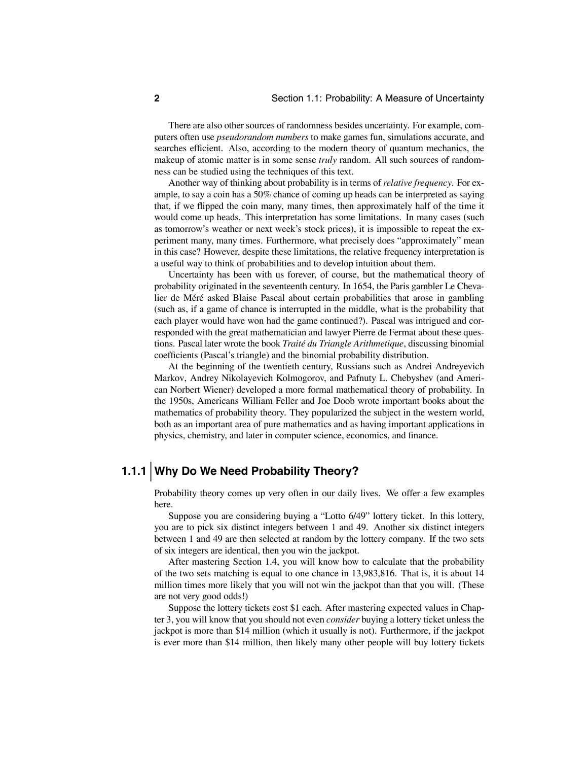There are also other sources of randomness besides uncertainty. For example, computers often use *pseudorandom numbers* to make games fun, simulations accurate, and searches efficient. Also, according to the modern theory of quantum mechanics, the makeup of atomic matter is in some sense *truly* random. All such sources of randomness can be studied using the techniques of this text.

Another way of thinking about probability is in terms of *relative frequency*. For example, to say a coin has a 50% chance of coming up heads can be interpreted as saying that, if we flipped the coin many, many times, then approximately half of the time it would come up heads. This interpretation has some limitations. In many cases (such as tomorrow's weather or next week's stock prices), it is impossible to repeat the experiment many, many times. Furthermore, what precisely does "approximately" mean in this case? However, despite these limitations, the relative frequency interpretation is a useful way to think of probabilities and to develop intuition about them.

Uncertainty has been with us forever, of course, but the mathematical theory of probability originated in the seventeenth century. In 1654, the Paris gambler Le Chevalier de Méré asked Blaise Pascal about certain probabilities that arose in gambling (such as, if a game of chance is interrupted in the middle, what is the probability that each player would have won had the game continued?). Pascal was intrigued and corresponded with the great mathematician and lawyer Pierre de Fermat about these questions. Pascal later wrote the book *Traité du Triangle Arithmetique*, discussing binomial coefficients (Pascal's triangle) and the binomial probability distribution.

At the beginning of the twentieth century, Russians such as Andrei Andreyevich Markov, Andrey Nikolayevich Kolmogorov, and Pafnuty L. Chebyshev (and American Norbert Wiener) developed a more formal mathematical theory of probability. In the 1950s, Americans William Feller and Joe Doob wrote important books about the mathematics of probability theory. They popularized the subject in the western world, both as an important area of pure mathematics and as having important applications in physics, chemistry, and later in computer science, economics, and finance.

### **1.1.1 Why Do We Need Probability Theory?**

Probability theory comes up very often in our daily lives. We offer a few examples here.

Suppose you are considering buying a "Lotto 6/49" lottery ticket. In this lottery, you are to pick six distinct integers between 1 and 49. Another six distinct integers between 1 and 49 are then selected at random by the lottery company. If the two sets of six integers are identical, then you win the jackpot.

After mastering Section 1.4, you will know how to calculate that the probability of the two sets matching is equal to one chance in 13,983,816. That is, it is about 14 million times more likely that you will not win the jackpot than that you will. (These are not very good odds!)

Suppose the lottery tickets cost \$1 each. After mastering expected values in Chapter 3, you will know that you should not even *consider* buying a lottery ticket unless the jackpot is more than \$14 million (which it usually is not). Furthermore, if the jackpot is ever more than \$14 million, then likely many other people will buy lottery tickets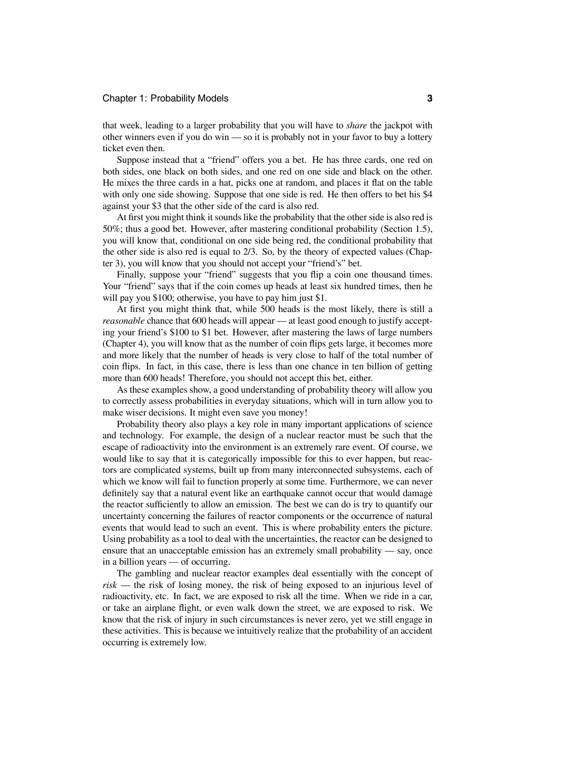that week, leading to a larger probability that you will have to *share* the jackpot with other winners even if you do win — so it is probably not in your favor to buy a lottery ticket even then.

Suppose instead that a "friend" offers you a bet. He has three cards, one red on both sides, one black on both sides, and one red on one side and black on the other. He mixes the three cards in a hat, picks one at random, and places it flat on the table with only one side showing. Suppose that one side is red. He then offers to bet his \$4 against your \$3 that the other side of the card is also red.

At first you might think it sounds like the probability that the other side is also red is 50%; thus a good bet. However, after mastering conditional probability (Section 1.5), you will know that, conditional on one side being red, the conditional probability that the other side is also red is equal to 2/3. So, by the theory of expected values (Chapter 3), you will know that you should not accept your "friend's" bet.

Finally, suppose your "friend" suggests that you flip a coin one thousand times. Your "friend" says that if the coin comes up heads at least six hundred times, then he will pay you \$100; otherwise, you have to pay him just \$1.

At first you might think that, while 500 heads is the most likely, there is still a *reasonable* chance that 600 heads will appear — at least good enough to justify accepting your friend's \$100 to \$1 bet. However, after mastering the laws of large numbers (Chapter 4), you will know that as the number of coin flips gets large, it becomes more and more likely that the number of heads is very close to half of the total number of coin flips. In fact, in this case, there is less than one chance in ten billion of getting more than 600 heads! Therefore, you should not accept this bet, either.

As these examples show, a good understanding of probability theory will allow you to correctly assess probabilities in everyday situations, which will in turn allow you to make wiser decisions. It might even save you money!

Probability theory also plays a key role in many important applications of science and technology. For example, the design of a nuclear reactor must be such that the escape of radioactivity into the environment is an extremely rare event. Of course, we would like to say that it is categorically impossible for this to ever happen, but reactors are complicated systems, built up from many interconnected subsystems, each of which we know will fail to function properly at some time. Furthermore, we can never definitely say that a natural event like an earthquake cannot occur that would damage the reactor sufficiently to allow an emission. The best we can do is try to quantify our uncertainty concerning the failures of reactor components or the occurrence of natural events that would lead to such an event. This is where probability enters the picture. Using probability as a tool to deal with the uncertainties, the reactor can be designed to ensure that an unacceptable emission has an extremely small probability — say, once in a billion years — of occurring.

The gambling and nuclear reactor examples deal essentially with the concept of *risk* — the risk of losing money, the risk of being exposed to an injurious level of radioactivity, etc. In fact, we are exposed to risk all the time. When we ride in a car, or take an airplane flight, or even walk down the street, we are exposed to risk. We know that the risk of injury in such circumstances is never zero, yet we still engage in these activities. This is because we intuitively realize that the probability of an accident occurring is extremely low.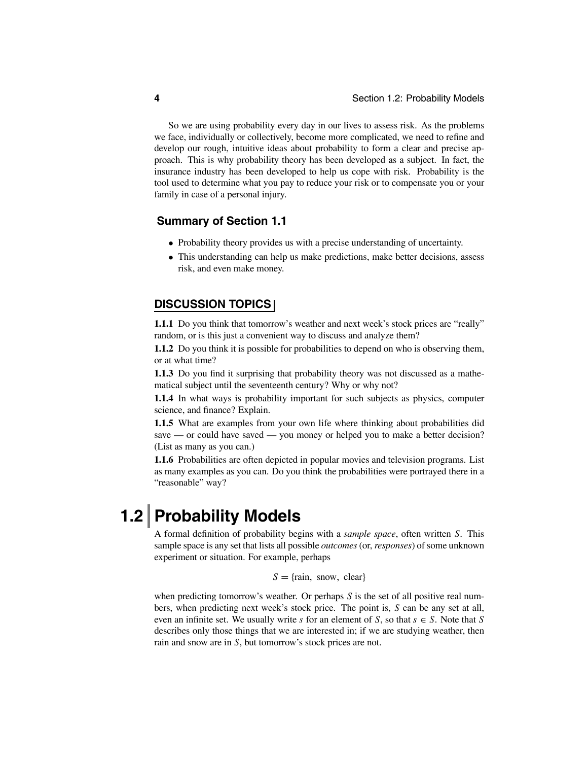So we are using probability every day in our lives to assess risk. As the problems we face, individually or collectively, become more complicated, we need to refine and develop our rough, intuitive ideas about probability to form a clear and precise approach. This is why probability theory has been developed as a subject. In fact, the insurance industry has been developed to help us cope with risk. Probability is the tool used to determine what you pay to reduce your risk or to compensate you or your family in case of a personal injury.

#### **Summary of Section 1.1**

- Probability theory provides us with a precise understanding of uncertainty.
- This understanding can help us make predictions, make better decisions, assess risk, and even make money.

#### **DISCUSSION TOPICS**

**1.1.1** Do you think that tomorrow's weather and next week's stock prices are "really" random, or is this just a convenient way to discuss and analyze them?

**1.1.2** Do you think it is possible for probabilities to depend on who is observing them, or at what time?

**1.1.3** Do you find it surprising that probability theory was not discussed as a mathematical subject until the seventeenth century? Why or why not?

**1.1.4** In what ways is probability important for such subjects as physics, computer science, and finance? Explain.

**1.1.5** What are examples from your own life where thinking about probabilities did save — or could have saved — you money or helped you to make a better decision? (List as many as you can.)

**1.1.6** Probabilities are often depicted in popular movies and television programs. List as many examples as you can. Do you think the probabilities were portrayed there in a "reasonable" way?

# **1.2 Probability Models**

A formal definition of probability begins with a *sample space*, often written *S*. This sample space is any set that lists all possible *outcomes* (or, *responses*) of some unknown experiment or situation. For example, perhaps

```
S = \{ \text{rain}, \text{ snow}, \text{ clear} \}
```
when predicting tomorrow's weather. Or perhaps *S* is the set of all positive real numbers, when predicting next week's stock price. The point is, *S* can be any set at all, even an infinite set. We usually write *s* for an element of *S*, so that  $s \in S$ . Note that *S* describes only those things that we are interested in; if we are studying weather, then rain and snow are in *S*, but tomorrow's stock prices are not.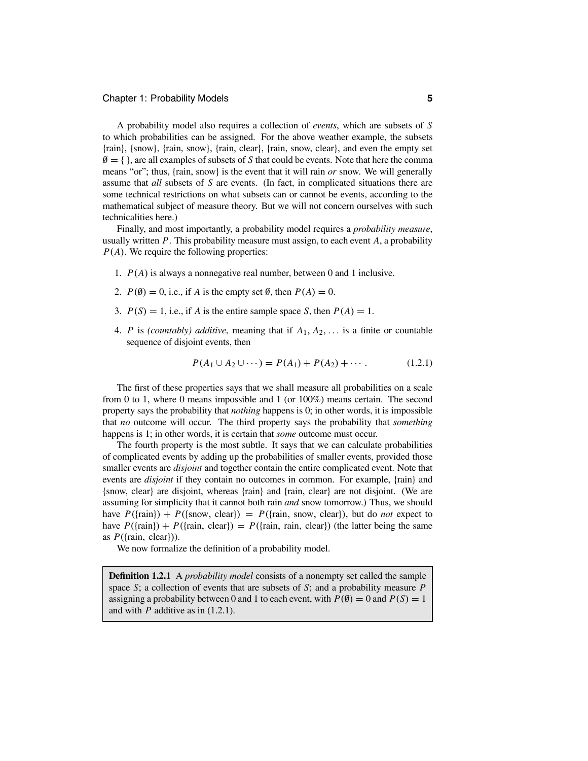A probability model also requires a collection of *events*, which are subsets of *S* to which probabilities can be assigned. For the above weather example, the subsets {rain}, {snow}, {rain, snow}, {rain, clear}, {rain, snow, clear}, and even the empty set  $\emptyset = \{\}$ , are all examples of subsets of *S* that could be events. Note that here the comma means "or"; thus, {rain, snow} is the event that it will rain *or* snow. We will generally assume that *all* subsets of *S* are events. (In fact, in complicated situations there are some technical restrictions on what subsets can or cannot be events, according to the mathematical subject of measure theory. But we will not concern ourselves with such technicalities here.)

Finally, and most importantly, a probability model requires a *probability measure*, usually written *P*. This probability measure must assign, to each event *A*, a probability *P*(*A*). We require the following properties:

- 1. *P*(*A*) is always a nonnegative real number, between 0 and 1 inclusive.
- 2.  $P(\emptyset) = 0$ , i.e., if *A* is the empty set  $\emptyset$ , then  $P(A) = 0$ .
- 3.  $P(S) = 1$ , i.e., if *A* is the entire sample space *S*, then  $P(A) = 1$ .
- 4. *P* is *(countably) additive*, meaning that if *A*1, *A*2,... is a finite or countable sequence of disjoint events, then

$$
P(A_1 \cup A_2 \cup \dots) = P(A_1) + P(A_2) + \dots
$$
 (1.2.1)

The first of these properties says that we shall measure all probabilities on a scale from 0 to 1, where 0 means impossible and 1 (or 100%) means certain. The second property says the probability that *nothing* happens is 0; in other words, it is impossible that *no* outcome will occur. The third property says the probability that *something* happens is 1; in other words, it is certain that *some* outcome must occur.

The fourth property is the most subtle. It says that we can calculate probabilities of complicated events by adding up the probabilities of smaller events, provided those smaller events are *disjoint* and together contain the entire complicated event. Note that events are *disjoint* if they contain no outcomes in common. For example, {rain} and {snow, clear} are disjoint, whereas {rain} and {rain, clear} are not disjoint. (We are assuming for simplicity that it cannot both rain *and* snow tomorrow.) Thus, we should have  $P({\text{rain}}) + P({\text{snow, clear}}) = P({\text{rain, snow, clear}})$ , but do *not* expect to have  $P({\text{rain}}) + P({\text{rain, clear}}) = P({\text{rain, rain, clear}})$  (the latter being the same as  $P(\{\text{rain}, \text{clear}\})$ ).

We now formalize the definition of a probability model.

**Definition 1.2.1** A *probability model* consists of a nonempty set called the sample space *S*; a collection of events that are subsets of *S*; and a probability measure *P* assigning a probability between 0 and 1 to each event, with  $P(\emptyset) = 0$  and  $P(S) = 1$ and with *P* additive as in (1.2.1).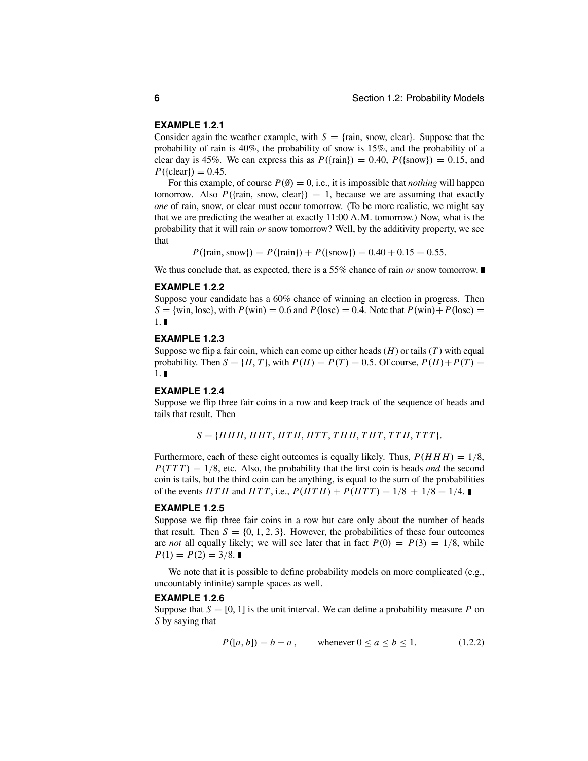#### **EXAMPLE 1.2.1**

Consider again the weather example, with  $S = \{ \text{rain}, \text{snow}, \text{clear} \}$ . Suppose that the probability of rain is 40%, the probability of snow is 15%, and the probability of a clear day is 45%. We can express this as  $P({\text{train}}) = 0.40$ ,  $P({\text{snow}}) = 0.15$ , and  $P({\text{clear}}) = 0.45.$ 

For this example, of course  $P(\emptyset) = 0$ , i.e., it is impossible that *nothing* will happen tomorrow. Also  $P({\text{rain, snow, clear}}) = 1$ , because we are assuming that exactly *one* of rain, snow, or clear must occur tomorrow. (To be more realistic, we might say that we are predicting the weather at exactly 11:00 A.M. tomorrow.) Now, what is the probability that it will rain *or* snow tomorrow? Well, by the additivity property, we see that

 $P({\text{train}, snow}) = P({\text{train}}) + P({\text{snow}}) = 0.40 + 0.15 = 0.55.$ 

We thus conclude that, as expected, there is a 55% chance of rain *or* snow tomorrow.

#### **EXAMPLE 1.2.2**

Suppose your candidate has a 60% chance of winning an election in progress. Then  $S = \{win, lose\}$ , with  $P(\text{win}) = 0.6$  and  $P(\text{lose}) = 0.4$ . Note that  $P(\text{win}) + P(\text{lose}) = 0$  $1.1$ 

#### **EXAMPLE 1.2.3**

Suppose we flip a fair coin, which can come up either heads (*H*) or tails (*T*) with equal probability. Then  $S = \{H, T\}$ , with  $P(H) = P(T) = 0.5$ . Of course,  $P(H) + P(T) =$  $1.1$ 

#### **EXAMPLE 1.2.4**

Suppose we flip three fair coins in a row and keep track of the sequence of heads and tails that result. Then

 $S = \{HHH, HHT, HTH, HTT, THH, THT, TTH, TTT\}.$ 

Furthermore, each of these eight outcomes is equally likely. Thus,  $P(HHH) = 1/8$ ,  $P(TTT) = 1/8$ , etc. Also, the probability that the first coin is heads *and* the second coin is tails, but the third coin can be anything, is equal to the sum of the probabilities of the events *HTH* and *HTT*, i.e.,  $P(HTH) + P(HTT) = 1/8 + 1/8 = 1/4$ .

#### **EXAMPLE 1.2.5**

Suppose we flip three fair coins in a row but care only about the number of heads that result. Then  $S = \{0, 1, 2, 3\}$ . However, the probabilities of these four outcomes are *not* all equally likely; we will see later that in fact  $P(0) = P(3) = 1/8$ , while  $P(1) = P(2) = 3/8.$ 

We note that it is possible to define probability models on more complicated (e.g., uncountably infinite) sample spaces as well.

#### **EXAMPLE 1.2.6**

Suppose that  $S = \{0, 1\}$  is the unit interval. We can define a probability measure P on *S* by saying that

$$
P([a, b]) = b - a
$$
, whenever  $0 \le a \le b \le 1$ . (1.2.2)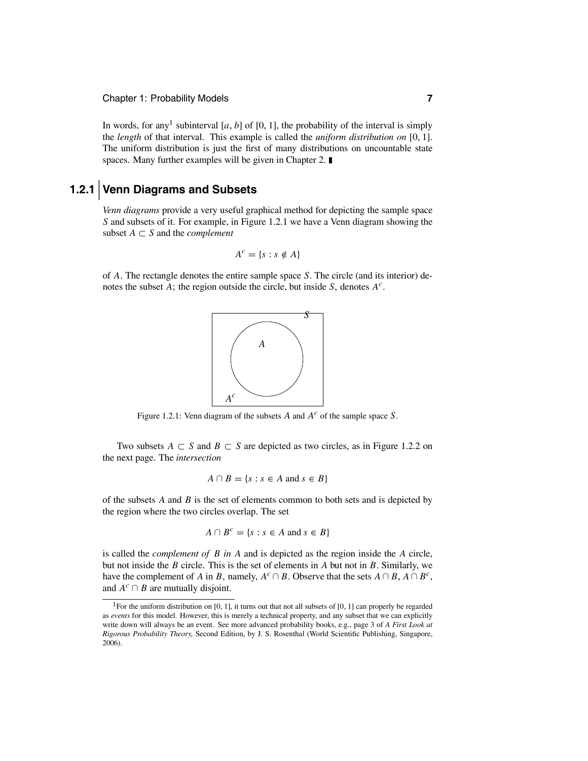In words, for any<sup>1</sup> subinterval [a, b] of [0, 1], the probability of the interval is simply the *length* of that interval. This example is called the *uniform distribution on* [0, 1]. The uniform distribution is just the first of many distributions on uncountable state spaces. Many further examples will be given in Chapter 2.

### **1.2.1 Venn Diagrams and Subsets**

*Venn diagrams* provide a very useful graphical method for depicting the sample space *S* and subsets of it. For example, in Figure 1.2.1 we have a Venn diagram showing the subset  $A \subset S$  and the *complement* 

$$
A^c = \{s : s \notin A\}
$$

of *A*. The rectangle denotes the entire sample space *S*. The circle (and its interior) denotes the subset *<sup>A</sup>*; the region outside the circle, but inside *<sup>S</sup>*, denotes *<sup>A</sup>c*.



Figure 1.2.1: Venn diagram of the subsets *A* and *A<sup>c</sup>* of the sample space *S*.

Two subsets  $A \subset S$  and  $B \subset S$  are depicted as two circles, as in Figure 1.2.2 on the next page. The *intersection*

$$
A \cap B = \{s : s \in A \text{ and } s \in B\}
$$

of the subsets *A* and *B* is the set of elements common to both sets and is depicted by the region where the two circles overlap. The set

$$
A \cap B^c = \{s : s \in A \text{ and } s \in B\}
$$

is called the *complement of B in A* and is depicted as the region inside the *A* circle, but not inside the *B* circle. This is the set of elements in *A* but not in *B*. Similarly, we have the complement of *A* in *B*, namely,  $A^c \cap B$ . Observe that the sets  $A \cap B$ ,  $A \cap B^c$ , and  $A^c \cap B$  are mutually disjoint.

<sup>&</sup>lt;sup>1</sup> For the uniform distribution on [0, 1], it turns out that not all subsets of [0, 1] can properly be regarded as *events* for this model. However, this is merely a technical property, and any subset that we can explicitly write down will always be an event. See more advanced probability books, e.g., page 3 of *A First Look at Rigorous Probability Theory,* Second Edition, by J. S. Rosenthal (World Scientific Publishing, Singapore, 2006).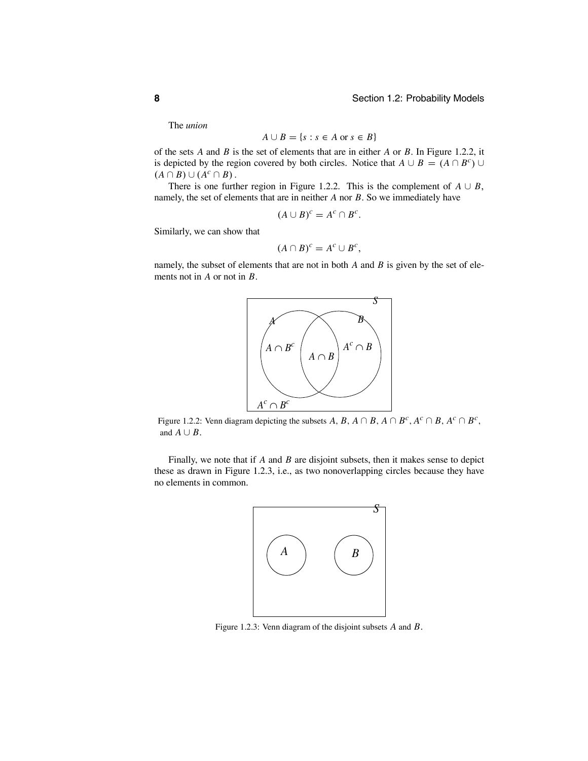The *union*

$$
A \cup B = \{ s : s \in A \text{ or } s \in B \}
$$

of the sets *A* and *B* is the set of elements that are in either *A* or *B*. In Figure 1.2.2, it is depicted by the region covered by both circles. Notice that  $A \cup B = (A \cap B^c) \cup$  $(A \cap B) \cup (A^c \cap B)$ .

There is one further region in Figure 1.2.2. This is the complement of  $A \cup B$ , namely, the set of elements that are in neither *A* nor *B*. So we immediately have

$$
(A \cup B)^c = A^c \cap B^c.
$$

Similarly, we can show that

$$
(A \cap B)^c = A^c \cup B^c,
$$

namely, the subset of elements that are not in both *A* and *B* is given by the set of elements not in *A* or not in *B*.



Figure 1.2.2: Venn diagram depicting the subsets *A*, *B*, *A* ∩ *B*, *A* ∩ *B<sup>c</sup>*, *A<sup>c</sup>* ∩ *B*<sup>*c*</sup>, and  $A \cup B$ .

Finally, we note that if *A* and *B* are disjoint subsets, then it makes sense to depict these as drawn in Figure 1.2.3, i.e., as two nonoverlapping circles because they have no elements in common.



Figure 1.2.3: Venn diagram of the disjoint subsets *A* and *B*.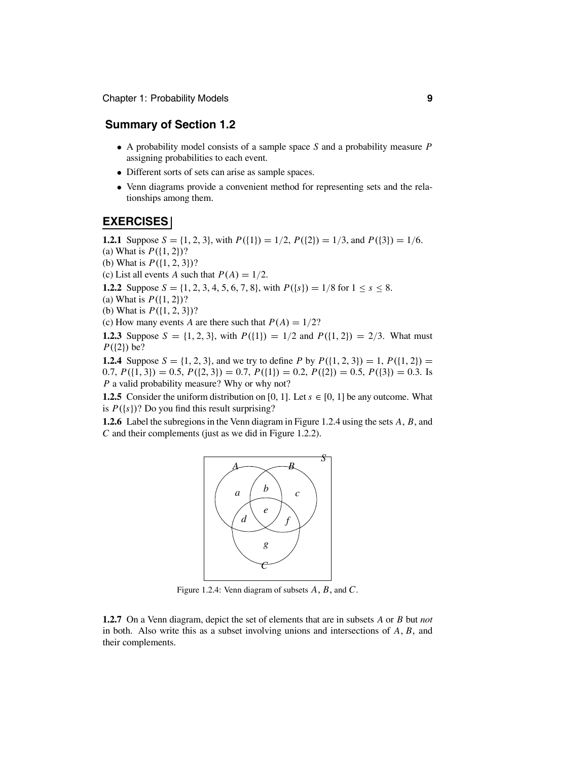#### **Summary of Section 1.2**

- A probability model consists of a sample space *<sup>S</sup>* and a probability measure *<sup>P</sup>* assigning probabilities to each event.
- Different sorts of sets can arise as sample spaces.
- Venn diagrams provide a convenient method for representing sets and the relationships among them.

#### **EXERCISES**

**1.2.1** Suppose  $S = \{1, 2, 3\}$ , with  $P(\{1\}) = 1/2$ ,  $P(\{2\}) = 1/3$ , and  $P(\{3\}) = 1/6$ . (a) What is *<sup>P</sup>*({1, <sup>2</sup>})? (b) What is *<sup>P</sup>*({1, <sup>2</sup>, <sup>3</sup>})?

(c) List all events *A* such that  $P(A) = 1/2$ .

**1.2.2** Suppose  $S = \{1, 2, 3, 4, 5, 6, 7, 8\}$ , with  $P(\{s\}) = 1/8$  for  $1 \leq s \leq 8$ .

(a) What is *<sup>P</sup>*({1, <sup>2</sup>})?

(b) What is *<sup>P</sup>*({1, <sup>2</sup>, <sup>3</sup>})?

(c) How many events *A* are there such that  $P(A) = 1/2$ ?

**1.2.3** Suppose  $S = \{1, 2, 3\}$ , with  $P(\{1\}) = 1/2$  and  $P(\{1, 2\}) = 2/3$ . What must  $P({2})$  be?

**1.2.4** Suppose  $S = \{1, 2, 3\}$ , and we try to define *P* by  $P(\{1, 2, 3\}) = 1$ ,  $P(\{1, 2\}) =$ 0.7,  $P({1, 3}) = 0.5$ ,  $P({2, 3}) = 0.7$ ,  $P({1}) = 0.2$ ,  $P({2}) = 0.5$ ,  $P({3}) = 0.3$ . Is *P* a valid probability measure? Why or why not?

**1.2.5** Consider the uniform distribution on [0, 1]. Let  $s \in [0, 1]$  be any outcome. What is  $P({s})$ ? Do you find this result surprising?

**1.2.6** Label the subregions in the Venn diagram in Figure 1.2.4 using the sets *A*, *B*, and *C* and their complements (just as we did in Figure 1.2.2).



Figure 1.2.4: Venn diagram of subsets *A*, *B*, and *C*.

**1.2.7** On a Venn diagram, depict the set of elements that are in subsets *A* or *B* but *not* in both. Also write this as a subset involving unions and intersections of *A*, *B*, and their complements.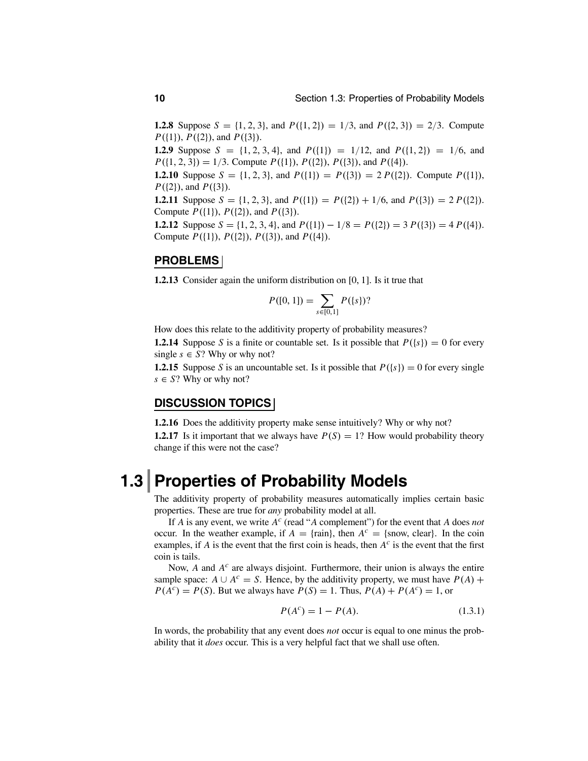**1.2.8** Suppose  $S = \{1, 2, 3\}$ , and  $P(\{1, 2\}) = \frac{1}{3}$ , and  $P(\{2, 3\}) = \frac{2}{3}$ . Compute *<sup>P</sup>*({1}), *<sup>P</sup>*({2}), and *<sup>P</sup>*({3}).

**1.2.9** Suppose  $S = \{1, 2, 3, 4\}$ , and  $P(\{1\}) = 1/12$ , and  $P(\{1, 2\}) = 1/6$ , and  $P({1, 2, 3}) = 1/3$ . Compute  $P({1}), P({2}), P({3}),$  and  $P({4}).$ 

**1.2.10** Suppose  $S = \{1, 2, 3\}$ , and  $P(\{1\}) = P(\{3\}) = 2 P(\{2\})$ . Compute  $P(\{1\})$ , *<sup>P</sup>*({2}), and *<sup>P</sup>*({3}).

**1.2.11** Suppose  $S = \{1, 2, 3\}$ , and  $P(\{1\}) = P(\{2\}) + 1/6$ , and  $P(\{3\}) = 2 P(\{2\})$ . Compute *<sup>P</sup>*({1}), *<sup>P</sup>*({2}), and *<sup>P</sup>*({3}).

**1.2.12** Suppose  $S = \{1, 2, 3, 4\}$ , and  $P(\{1\}) - 1/8 = P(\{2\}) = 3 P(\{3\}) = 4 P(\{4\}).$ Compute *<sup>P</sup>*({1}), *<sup>P</sup>*({2}), *<sup>P</sup>*({3}), and *<sup>P</sup>*({4}).

#### **PROBLEMS**

**1.2.13** Consider again the uniform distribution on [0, 1]. Is it true that

$$
P([0, 1]) = \sum_{s \in [0, 1]} P(\{s\})?
$$

How does this relate to the additivity property of probability measures?

**1.2.14** Suppose *S* is a finite or countable set. Is it possible that  $P({s}) = 0$  for every single  $s \in S$ ? Why or why not?

**1.2.15** Suppose *S* is an uncountable set. Is it possible that  $P({s}) = 0$  for every single  $s \in S$ ? Why or why not?

#### **DISCUSSION TOPICS**

**1.2.16** Does the additivity property make sense intuitively? Why or why not?

**1.2.17** Is it important that we always have  $P(S) = 1$ ? How would probability theory change if this were not the case?

### **1.3 Properties of Probability Models**

The additivity property of probability measures automatically implies certain basic properties. These are true for *any* probability model at all.

If *A* is any event, we write *A<sup>c</sup>* (read "*A* complement") for the event that *A* does *not* occur. In the weather example, if  $A = \{\text{rain}\}\$ , then  $A^c = \{\text{snow}, \text{ clear}\}\$ . In the coin examples, if *A* is the event that the first coin is heads, then  $A<sup>c</sup>$  is the event that the first coin is tails.

Now, A and  $A<sup>c</sup>$  are always disjoint. Furthermore, their union is always the entire sample space:  $A \cup A^c = S$ . Hence, by the additivity property, we must have  $P(A)$  +  $P(A^c) = P(S)$ . But we always have  $P(S) = 1$ . Thus,  $P(A) + P(A^c) = 1$ , or

$$
P(Ac) = 1 - P(A).
$$
 (1.3.1)

In words, the probability that any event does *not* occur is equal to one minus the probability that it *does* occur. This is a very helpful fact that we shall use often.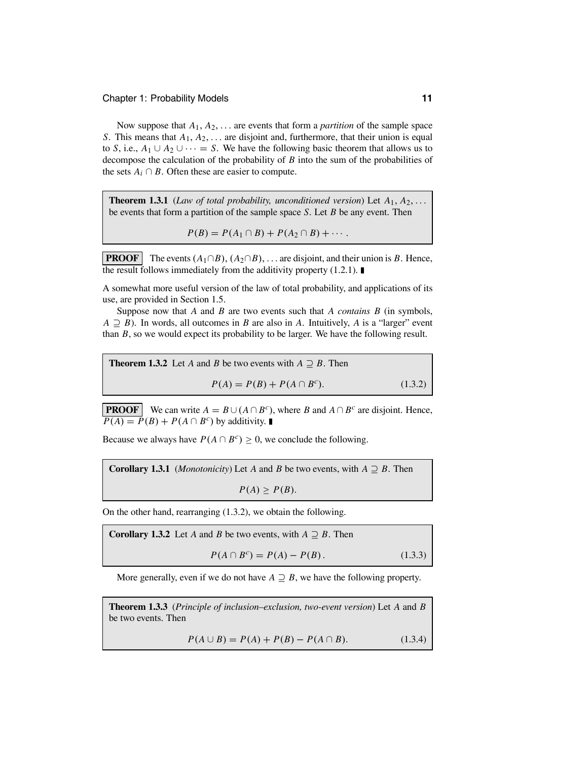Now suppose that *A*1, *A*2,... are events that form a *partition* of the sample space *S*. This means that *A*1, *A*2,... are disjoint and, furthermore, that their union is equal to *S*, i.e.,  $A_1 \cup A_2 \cup \cdots = S$ . We have the following basic theorem that allows us to decompose the calculation of the probability of *B* into the sum of the probabilities of the sets  $A_i \cap B$ . Often these are easier to compute.

**Theorem 1.3.1** (*Law of total probability, unconditioned version*) Let *A*1, *A*2,... be events that form a partition of the sample space *S*. Let *B* be any event. Then

 $P(B) = P(A_1 \cap B) + P(A_2 \cap B) + \cdots$ .

**PROOF** The events  $(A_1 \cap B)$ ,  $(A_2 \cap B)$ , . . . are disjoint, and their union is *B*. Hence, the result follows immediately from the additivity property (1.2.1).  $\blacksquare$ 

A somewhat more useful version of the law of total probability, and applications of its use, are provided in Section 1.5.

Suppose now that *A* and *B* are two events such that *A contains B* (in symbols,  $A \supseteq B$ ). In words, all outcomes in *B* are also in *A*. Intuitively, *A* is a "larger" event than *B*, so we would expect its probability to be larger. We have the following result.

**Theorem 1.3.2** Let *A* and *B* be two events with  $A \supseteq B$ . Then

$$
P(A) = P(B) + P(A \cap B^{c}).
$$
 (1.3.2)

**PROOF** We can write  $A = B \cup (A \cap B^c)$ , where *B* and  $A \cap B^c$  are disjoint. Hence, *P*(*A*) = *P*(*B*) + *P*(*A* ∩ *B<sup><i>c*</sup>) by additivity. ■

Because we always have  $P(A \cap B^c) \geq 0$ , we conclude the following.

**Corollary 1.3.1** (*Monotonicity*) Let *A* and *B* be two events, with  $A \supseteq B$ . Then  $P(A) > P(B)$ .

On the other hand, rearranging (1.3.2), we obtain the following.

**Corollary 1.3.2** Let *A* and *B* be two events, with  $A \supseteq B$ . Then  $P(A \cap B^c) = P(A) - P(B)$ . (1.3.3)

More generally, even if we do not have  $A \supset B$ , we have the following property.

**Theorem 1.3.3** (*Principle of inclusion–exclusion, two-event version*) Let *A* and *B* be two events. Then

$$
P(A \cup B) = P(A) + P(B) - P(A \cap B). \tag{1.3.4}
$$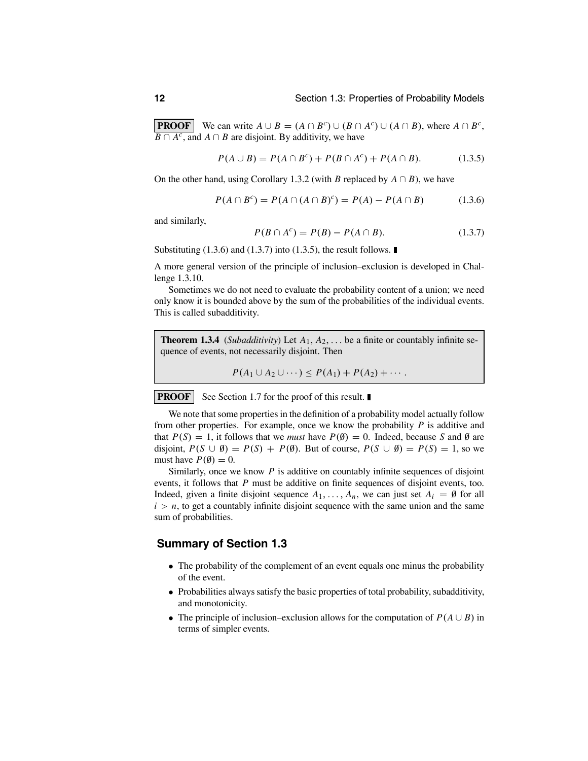**PROOF** We can write  $A \cup B = (A \cap B^c) \cup (B \cap A^c) \cup (A \cap B)$ , where  $A \cap B^c$ ,  $\overline{B \cap A^c}$ , and  $A \cap B$  are disjoint. By additivity, we have

$$
P(A \cup B) = P(A \cap B^{c}) + P(B \cap A^{c}) + P(A \cap B).
$$
 (1.3.5)

On the other hand, using Corollary 1.3.2 (with *B* replaced by  $A \cap B$ ), we have

$$
P(A \cap B^{c}) = P(A \cap (A \cap B)^{c}) = P(A) - P(A \cap B)
$$
 (1.3.6)

and similarly,

$$
P(B \cap A^{c}) = P(B) - P(A \cap B). \tag{1.3.7}
$$

Substituting (1.3.6) and (1.3.7) into (1.3.5), the result follows.

A more general version of the principle of inclusion–exclusion is developed in Challenge 1.3.10.

Sometimes we do not need to evaluate the probability content of a union; we need only know it is bounded above by the sum of the probabilities of the individual events. This is called subadditivity.

**Theorem 1.3.4** (*Subadditivity*) Let  $A_1, A_2, \ldots$  be a finite or countably infinite sequence of events, not necessarily disjoint. Then

$$
P(A_1 \cup A_2 \cup \cdots) \leq P(A_1) + P(A_2) + \cdots.
$$

**PROOF** See Section 1.7 for the proof of this result.

We note that some properties in the definition of a probability model actually follow from other properties. For example, once we know the probability *P* is additive and that  $P(S) = 1$ , it follows that we *must* have  $P(\emptyset) = 0$ . Indeed, because *S* and Ø are disjoint,  $P(S \cup \emptyset) = P(S) + P(\emptyset)$ . But of course,  $P(S \cup \emptyset) = P(S) = 1$ , so we must have  $P(\emptyset) = 0$ .

Similarly, once we know *P* is additive on countably infinite sequences of disjoint events, it follows that *P* must be additive on finite sequences of disjoint events, too. Indeed, given a finite disjoint sequence  $A_1, \ldots, A_n$ , we can just set  $A_i = \emptyset$  for all  $i > n$ , to get a countably infinite disjoint sequence with the same union and the same sum of probabilities.

#### **Summary of Section 1.3**

- The probability of the complement of an event equals one minus the probability of the event.
- Probabilities always satisfy the basic properties of total probability, subadditivity, and monotonicity.
- The principle of inclusion–exclusion allows for the computation of  $P(A \cup B)$  in terms of simpler events.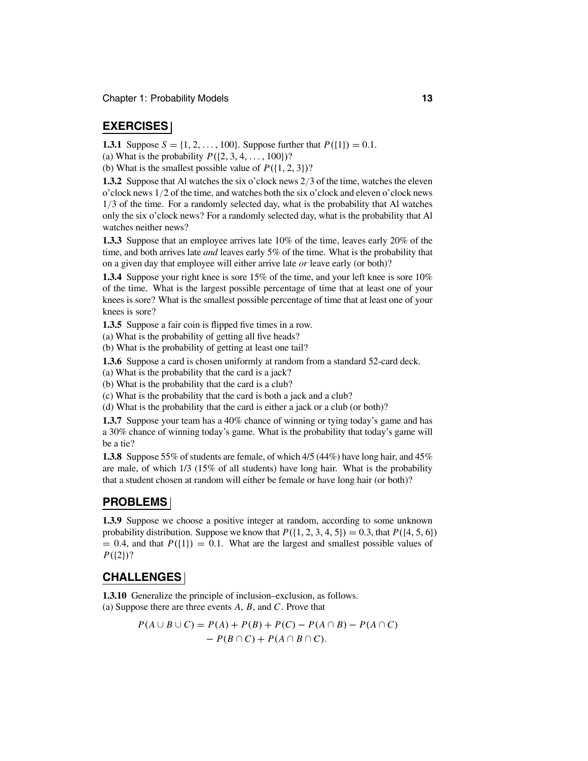#### **EXERCISES**

**1.3.1** Suppose  $S = \{1, 2, ..., 100\}$ . Suppose further that  $P(\{1\}) = 0.1$ .

(a) What is the probability  $P({2, 3, 4, ..., 100})$ ?

(b) What is the smallest possible value of  $P({1, 2, 3})$ ?

**1.3.2** Suppose that Al watches the six o'clock news 2/3 of the time, watches the eleven o'clock news 1/2 of the time, and watches both the six o'clock and eleven o'clock news 1/3 of the time. For a randomly selected day, what is the probability that Al watches only the six o'clock news? For a randomly selected day, what is the probability that Al watches neither news?

**1.3.3** Suppose that an employee arrives late 10% of the time, leaves early 20% of the time, and both arrives late *and* leaves early 5% of the time. What is the probability that on a given day that employee will either arrive late *or* leave early (or both)?

**1.3.4** Suppose your right knee is sore 15% of the time, and your left knee is sore 10% of the time. What is the largest possible percentage of time that at least one of your knees is sore? What is the smallest possible percentage of time that at least one of your knees is sore?

**1.3.5** Suppose a fair coin is flipped five times in a row.

(a) What is the probability of getting all five heads?

(b) What is the probability of getting at least one tail?

**1.3.6** Suppose a card is chosen uniformly at random from a standard 52-card deck.

(a) What is the probability that the card is a jack?

(b) What is the probability that the card is a club?

(c) What is the probability that the card is both a jack and a club?

(d) What is the probability that the card is either a jack or a club (or both)?

**1.3.7** Suppose your team has a 40% chance of winning or tying today's game and has a 30% chance of winning today's game. What is the probability that today's game will be a tie?

**1.3.8** Suppose 55% of students are female, of which 4/5 (44%) have long hair, and 45% are male, of which 1/3 (15% of all students) have long hair. What is the probability that a student chosen at random will either be female or have long hair (or both)?

#### **PROBLEMS**

**1.3.9** Suppose we choose a positive integer at random, according to some unknown probability distribution. Suppose we know that  $P({1, 2, 3, 4, 5}) = 0.3$ , that  $P({4, 5, 6})$  $= 0.4$ , and that  $P({1}) = 0.1$ . What are the largest and smallest possible values of *<sup>P</sup>*({2})?

#### **CHALLENGES**

**1.3.10** Generalize the principle of inclusion–exclusion, as follows. (a) Suppose there are three events *A*, *B*, and *C*. Prove that

$$
P(A \cup B \cup C) = P(A) + P(B) + P(C) - P(A \cap B) - P(A \cap C)
$$
  
- 
$$
P(B \cap C) + P(A \cap B \cap C).
$$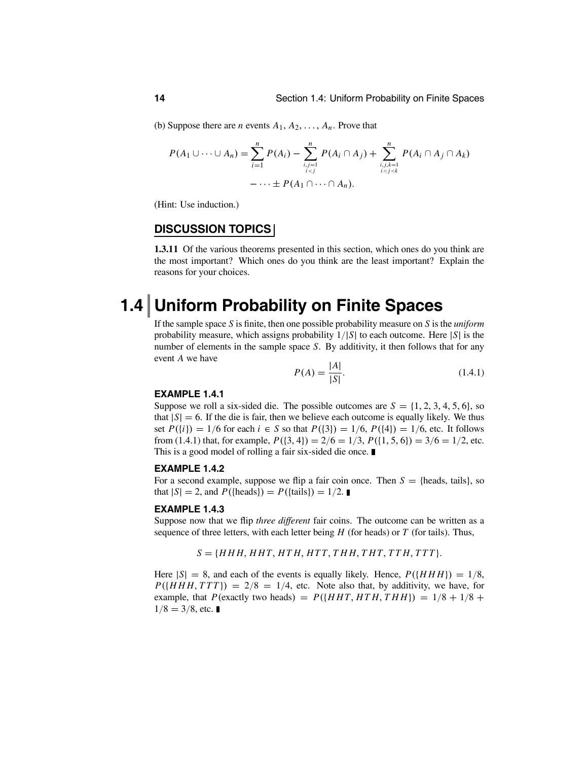(b) Suppose there are *n* events  $A_1, A_2, \ldots, A_n$ . Prove that

$$
P(A_1 \cup \dots \cup A_n) = \sum_{i=1}^n P(A_i) - \sum_{\substack{i,j=1 \\ i < j}}^n P(A_i \cap A_j) + \sum_{\substack{i,j,k=1 \\ i < j < k}}^n P(A_i \cap A_j \cap A_k) - \dots \pm P(A_1 \cap \dots \cap A_n).
$$

(Hint: Use induction.)

#### **DISCUSSION TOPICS**

**1.3.11** Of the various theorems presented in this section, which ones do you think are the most important? Which ones do you think are the least important? Explain the reasons for your choices.

### **1.4 Uniform Probability on Finite Spaces**

If the sample space *S* is finite, then one possible probability measure on *S* is the *uniform* probability measure, which assigns probability 1/|*S*<sup>|</sup> to each outcome. Here <sup>|</sup>*S*<sup>|</sup> is the number of elements in the sample space *S*. By additivity, it then follows that for any event *A* we have

$$
P(A) = \frac{|A|}{|S|}.
$$
 (1.4.1)

#### **EXAMPLE 1.4.1**

Suppose we roll a six-sided die. The possible outcomes are  $S = \{1, 2, 3, 4, 5, 6\}$ , so that  $|S| = 6$ . If the die is fair, then we believe each outcome is equally likely. We thus set *P*({*i*}) = 1/6 for each *i* ∈ *S* so that  $P({3}) = 1/6$ ,  $P({4}) = 1/6$ , etc. It follows from (1.4.1) that, for example,  $P({3, 4}) = 2/6 = 1/3$ ,  $P({1, 5, 6}) = 3/6 = 1/2$ , etc. This is a good model of rolling a fair six-sided die once.

#### **EXAMPLE 1.4.2**

For a second example, suppose we flip a fair coin once. Then  $S = \{heads, tails\}$ , so that  $|S| = 2$ , and  $P(\{\text{heads}\}) = P(\{\text{tails}\}) = 1/2$ .

#### **EXAMPLE 1.4.3**

Suppose now that we flip *three different* fair coins. The outcome can be written as a sequence of three letters, with each letter being  $H$  (for heads) or  $T$  (for tails). Thus,

 $S = \{HHH, HHT, HTH, HTT, THH, THT, TTH, TTT\}.$ 

Here  $|S| = 8$ , and each of the events is equally likely. Hence,  $P({HHH}) = 1/8$ ,  $P({HHH, TTT}) = 2/8 = 1/4$ , etc. Note also that, by additivity, we have, for example, that  $P$ (exactly two heads) =  $P({HHT, HTH, THH}) = 1/8 + 1/8 + 1/8$  $1/8 = 3/8$ , etc.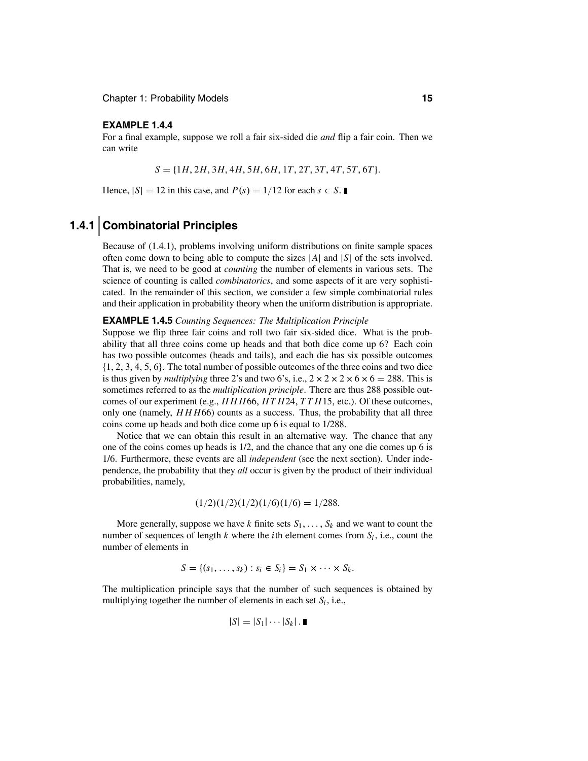#### **EXAMPLE 1.4.4**

For a final example, suppose we roll a fair six-sided die *and* flip a fair coin. Then we can write

$$
S = \{1H, 2H, 3H, 4H, 5H, 6H, 1T, 2T, 3T, 4T, 5T, 6T\}.
$$

Hence,  $|S| = 12$  in this case, and  $P(s) = 1/12$  for each  $s \in S$ .

### **1.4.1 Combinatorial Principles**

Because of (1.4.1), problems involving uniform distributions on finite sample spaces often come down to being able to compute the sizes <sup>|</sup>*A*<sup>|</sup> and <sup>|</sup>*S*<sup>|</sup> of the sets involved. That is, we need to be good at *counting* the number of elements in various sets. The science of counting is called *combinatorics*, and some aspects of it are very sophisticated. In the remainder of this section, we consider a few simple combinatorial rules and their application in probability theory when the uniform distribution is appropriate.

#### **EXAMPLE 1.4.5** *Counting Sequences: The Multiplication Principle*

Suppose we flip three fair coins and roll two fair six-sided dice. What is the probability that all three coins come up heads and that both dice come up 6? Each coin has two possible outcomes (heads and tails), and each die has six possible outcomes {1, <sup>2</sup>, <sup>3</sup>, <sup>4</sup>, <sup>5</sup>, <sup>6</sup>}. The total number of possible outcomes of the three coins and two dice is thus given by *multiplying* three 2's and two 6's, i.e.,  $2 \times 2 \times 2 \times 6 \times 6 = 288$ . This is sometimes referred to as the *multiplication principle*. There are thus 288 possible outcomes of our experiment (e.g., *HHH*66, *HTH*24, *TTH*15, etc.). Of these outcomes, only one (namely, *HHH*66) counts as a success. Thus, the probability that all three coins come up heads and both dice come up 6 is equal to 1/288.

Notice that we can obtain this result in an alternative way. The chance that any one of the coins comes up heads is 1/2, and the chance that any one die comes up 6 is 1/6. Furthermore, these events are all *independent* (see the next section). Under independence, the probability that they *all* occur is given by the product of their individual probabilities, namely,

$$
(1/2)(1/2)(1/2)(1/6)(1/6) = 1/288.
$$

More generally, suppose we have  $k$  finite sets  $S_1, \ldots, S_k$  and we want to count the number of sequences of length  $k$  where the *i*th element comes from  $S_i$ , i.e., count the number of elements in

$$
S = \{(s_1, \ldots, s_k) : s_i \in S_i\} = S_1 \times \cdots \times S_k.
$$

The multiplication principle says that the number of such sequences is obtained by multiplying together the number of elements in each set  $S_i$ , i.e.,

$$
|S| = |S_1| \cdots |S_k| \cdot \blacksquare
$$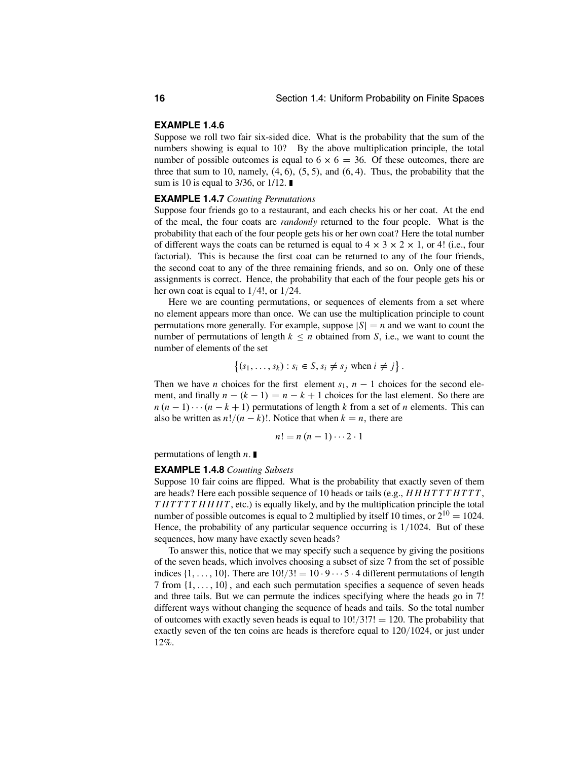#### **EXAMPLE 1.4.6**

Suppose we roll two fair six-sided dice. What is the probability that the sum of the numbers showing is equal to 10? By the above multiplication principle, the total number of possible outcomes is equal to  $6 \times 6 = 36$ . Of these outcomes, there are three that sum to 10, namely,  $(4, 6)$ ,  $(5, 5)$ , and  $(6, 4)$ . Thus, the probability that the sum is 10 is equal to 3/36, or  $1/12$ .

#### **EXAMPLE 1.4.7** *Counting Permutations*

Suppose four friends go to a restaurant, and each checks his or her coat. At the end of the meal, the four coats are *randomly* returned to the four people. What is the probability that each of the four people gets his or her own coat? Here the total number of different ways the coats can be returned is equal to  $4 \times 3 \times 2 \times 1$ , or 4! (i.e., four factorial). This is because the first coat can be returned to any of the four friends, the second coat to any of the three remaining friends, and so on. Only one of these assignments is correct. Hence, the probability that each of the four people gets his or her own coat is equal to  $1/4!$ , or  $1/24$ .

Here we are counting permutations, or sequences of elements from a set where no element appears more than once. We can use the multiplication principle to count permutations more generally. For example, suppose  $|S| = n$  and we want to count the number of permutations of length  $k \leq n$  obtained from *S*, i.e., we want to count the number of elements of the set

$$
\{(s_1,\ldots,s_k): s_i\in S, s_i\neq s_j \text{ when } i\neq j\}.
$$

Then we have *n* choices for the first element  $s_1$ ,  $n - 1$  choices for the second element, and finally  $n - (k - 1) = n - k + 1$  choices for the last element. So there are  $n(n-1)\cdots(n-k+1)$  permutations of length *k* from a set of *n* elements. This can also be written as  $n!/(n - k)!$ . Notice that when  $k = n$ , there are

$$
n! = n (n - 1) \cdots 2 \cdot 1
$$

permutations of length *n*.

#### **EXAMPLE 1.4.8** *Counting Subsets*

Suppose 10 fair coins are flipped. What is the probability that exactly seven of them are heads? Here each possible sequence of 10 heads or tails (e.g., *HHHTTTHTTT*, *THTTTTHHHT* , etc.) is equally likely, and by the multiplication principle the total number of possible outcomes is equal to 2 multiplied by itself 10 times, or  $2^{10} = 1024$ . Hence, the probability of any particular sequence occurring is  $1/1024$ . But of these sequences, how many have exactly seven heads?

To answer this, notice that we may specify such a sequence by giving the positions of the seven heads, which involves choosing a subset of size 7 from the set of possible indices  $\{1, \ldots, 10\}$ . There are  $10!/3! = 10 \cdot 9 \cdots 5 \cdot 4$  different permutations of length 7 from  $\{1, \ldots, 10\}$ , and each such permutation specifies a sequence of seven heads and three tails. But we can permute the indices specifying where the heads go in 7! different ways without changing the sequence of heads and tails. So the total number of outcomes with exactly seven heads is equal to  $10!/3!7! = 120$ . The probability that exactly seven of the ten coins are heads is therefore equal to 120/1024, or just under 12%.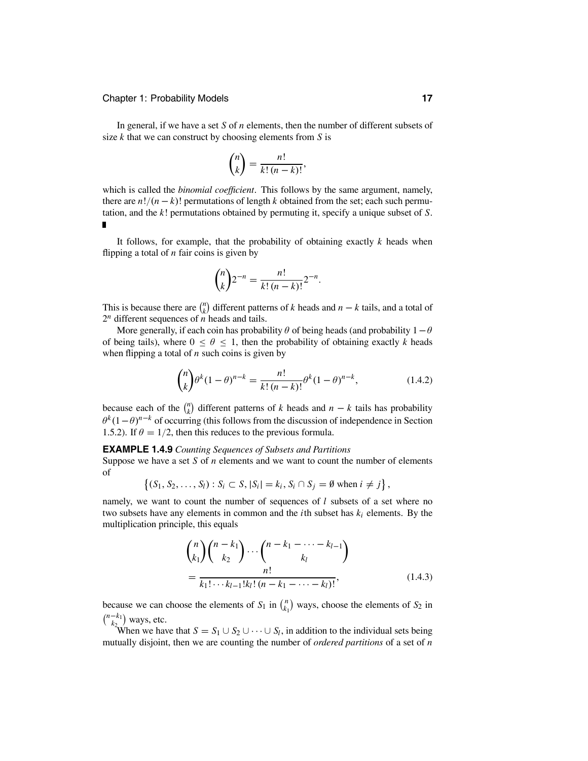In general, if we have a set *S* of *n* elements, then the number of different subsets of size *k* that we can construct by choosing elements from *S* is

$$
\binom{n}{k} = \frac{n!}{k! (n-k)!},
$$

which is called the *binomial coefficient*. This follows by the same argument, namely, there are  $n!/(n-k)!$  permutations of length *k* obtained from the set; each such permutation, and the *k*! permutations obtained by permuting it, specify a unique subset of *S*. П

It follows, for example, that the probability of obtaining exactly *k* heads when flipping a total of *n* fair coins is given by

$$
\binom{n}{k} 2^{-n} = \frac{n!}{k! (n-k)!} 2^{-n}.
$$

This is because there are  $\binom{n}{k}$  different patterns of *k* heads and *n* − *k* tails, and a total of 2*<sup>n</sup>* different sequences of *n* heads and tails.

More generally, if each coin has probability  $\theta$  of being heads (and probability  $1-\theta$ of being tails), where  $0 \le \theta \le 1$ , then the probability of obtaining exactly k heads when flipping a total of *n* such coins is given by

$$
\binom{n}{k} \theta^k (1 - \theta)^{n - k} = \frac{n!}{k! \, (n - k)!} \theta^k (1 - \theta)^{n - k},\tag{1.4.2}
$$

because each of the  $\binom{n}{k}$  different patterns of *k* heads and  $n - k$  tails has probability  $\theta^k (1-\theta)^{n-k}$  of occurring (this follows from the discussion of independence in Section 1.5.2). If  $\theta = 1/2$ , then this reduces to the previous formula.

#### **EXAMPLE 1.4.9** *Counting Sequences of Subsets and Partitions*

Suppose we have a set *S* of *n* elements and we want to count the number of elements of

$$
\{(S_1, S_2, \ldots, S_l) : S_i \subset S, |S_i| = k_i, S_i \cap S_j = \emptyset \text{ when } i \neq j\},\
$$

namely, we want to count the number of sequences of *l* subsets of a set where no two subsets have any elements in common and the *i*th subset has *ki* elements. By the multiplication principle, this equals

$$
\binom{n}{k_1}\binom{n-k_1}{k_2}\cdots\binom{n-k_1-\cdots-k_{l-1}}{k_l}
$$
\n
$$
=\frac{n!}{k_1!\cdots k_{l-1}!k_l!(n-k_1-\cdots-k_l)!},
$$
\n(1.4.3)

because we can choose the elements of  $S_1$  in  $\binom{n}{k_1}$  ways, choose the elements of  $S_2$  in  $\binom{n-k_1}{k_2}$  ways, etc.

When we have that  $S = S_1 \cup S_2 \cup \cdots \cup S_l$ , in addition to the individual sets being mutually disjoint, then we are counting the number of *ordered partitions* of a set of *n*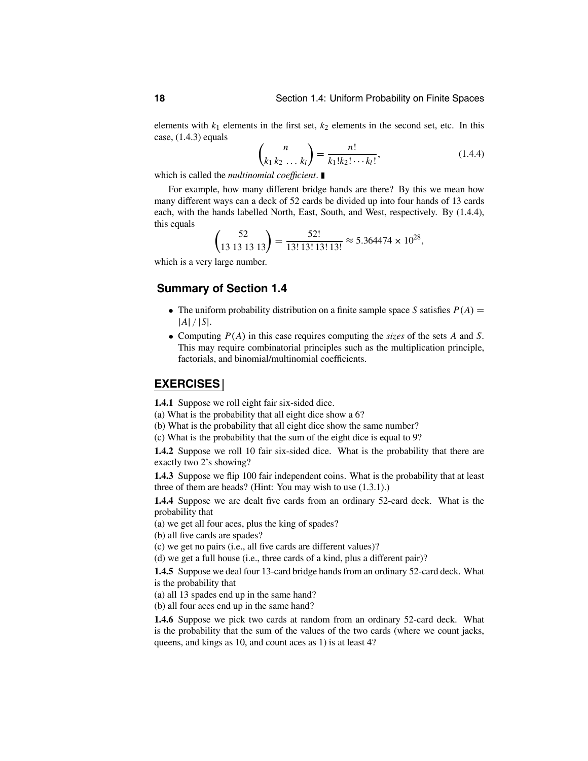elements with  $k_1$  elements in the first set,  $k_2$  elements in the second set, etc. In this case,  $(1.4.3)$  equals

$$
\binom{n}{k_1 \, k_2 \, \dots \, k_l} = \frac{n!}{k_1! k_2! \cdots k_l!},\tag{1.4.4}
$$

which is called the *multinomial coefficient*.

For example, how many different bridge hands are there? By this we mean how many different ways can a deck of 52 cards be divided up into four hands of 13 cards each, with the hands labelled North, East, South, and West, respectively. By (1.4.4), this equals

$$
\binom{52}{13\ 13\ 13\ 13} = \frac{52!}{13!\ 13!\ 13!\ 13!} \approx 5.364474 \times 10^{28},
$$

which is a very large number.

#### **Summary of Section 1.4**

- The uniform probability distribution on a finite sample space *S* satisfies  $P(A) =$ <sup>|</sup>*A*<sup>|</sup> / <sup>|</sup>*S*|.
- Computing *<sup>P</sup>*(*A*) in this case requires computing the *sizes* of the sets *<sup>A</sup>* and *<sup>S</sup>*. This may require combinatorial principles such as the multiplication principle, factorials, and binomial/multinomial coefficients.

#### **EXERCISES**

**1.4.1** Suppose we roll eight fair six-sided dice.

(a) What is the probability that all eight dice show a 6?

(b) What is the probability that all eight dice show the same number?

(c) What is the probability that the sum of the eight dice is equal to 9?

**1.4.2** Suppose we roll 10 fair six-sided dice. What is the probability that there are exactly two 2's showing?

**1.4.3** Suppose we flip 100 fair independent coins. What is the probability that at least three of them are heads? (Hint: You may wish to use (1.3.1).)

**1.4.4** Suppose we are dealt five cards from an ordinary 52-card deck. What is the probability that

(a) we get all four aces, plus the king of spades?

(b) all five cards are spades?

(c) we get no pairs (i.e., all five cards are different values)?

(d) we get a full house (i.e., three cards of a kind, plus a different pair)?

**1.4.5** Suppose we deal four 13-card bridge hands from an ordinary 52-card deck. What is the probability that

(a) all 13 spades end up in the same hand?

(b) all four aces end up in the same hand?

**1.4.6** Suppose we pick two cards at random from an ordinary 52-card deck. What is the probability that the sum of the values of the two cards (where we count jacks, queens, and kings as 10, and count aces as 1) is at least 4?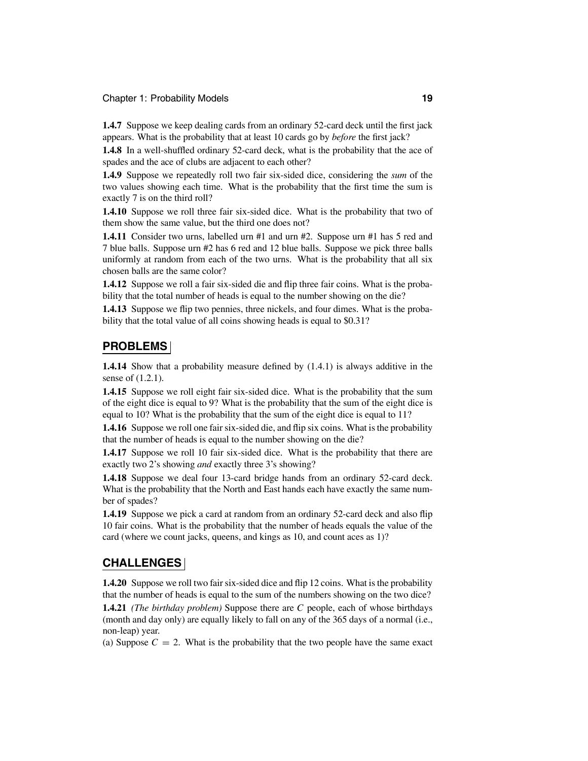**1.4.7** Suppose we keep dealing cards from an ordinary 52-card deck until the first jack appears. What is the probability that at least 10 cards go by *before* the first jack?

**1.4.8** In a well-shuffled ordinary 52-card deck, what is the probability that the ace of spades and the ace of clubs are adjacent to each other?

**1.4.9** Suppose we repeatedly roll two fair six-sided dice, considering the *sum* of the two values showing each time. What is the probability that the first time the sum is exactly 7 is on the third roll?

**1.4.10** Suppose we roll three fair six-sided dice. What is the probability that two of them show the same value, but the third one does not?

**1.4.11** Consider two urns, labelled urn #1 and urn #2. Suppose urn #1 has 5 red and 7 blue balls. Suppose urn #2 has 6 red and 12 blue balls. Suppose we pick three balls uniformly at random from each of the two urns. What is the probability that all six chosen balls are the same color?

**1.4.12** Suppose we roll a fair six-sided die and flip three fair coins. What is the probability that the total number of heads is equal to the number showing on the die?

**1.4.13** Suppose we flip two pennies, three nickels, and four dimes. What is the probability that the total value of all coins showing heads is equal to \$0.31?

#### **PROBLEMS**

**1.4.14** Show that a probability measure defined by (1.4.1) is always additive in the sense of (1.2.1).

**1.4.15** Suppose we roll eight fair six-sided dice. What is the probability that the sum of the eight dice is equal to 9? What is the probability that the sum of the eight dice is equal to 10? What is the probability that the sum of the eight dice is equal to 11?

**1.4.16** Suppose we roll one fair six-sided die, and flip six coins. What is the probability that the number of heads is equal to the number showing on the die?

**1.4.17** Suppose we roll 10 fair six-sided dice. What is the probability that there are exactly two 2's showing *and* exactly three 3's showing?

**1.4.18** Suppose we deal four 13-card bridge hands from an ordinary 52-card deck. What is the probability that the North and East hands each have exactly the same number of spades?

**1.4.19** Suppose we pick a card at random from an ordinary 52-card deck and also flip 10 fair coins. What is the probability that the number of heads equals the value of the card (where we count jacks, queens, and kings as 10, and count aces as 1)?

#### **CHALLENGES**

**1.4.20** Suppose we roll two fair six-sided dice and flip 12 coins. What is the probability that the number of heads is equal to the sum of the numbers showing on the two dice?

**1.4.21** *(The birthday problem)* Suppose there are *C* people, each of whose birthdays (month and day only) are equally likely to fall on any of the 365 days of a normal (i.e., non-leap) year.

(a) Suppose  $C = 2$ . What is the probability that the two people have the same exact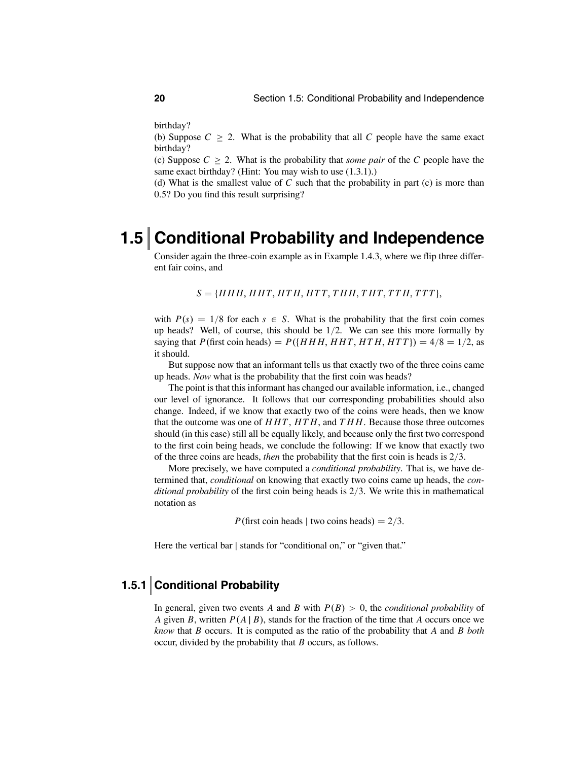birthday?

(b) Suppose  $C \geq 2$ . What is the probability that all *C* people have the same exact birthday?

(c) Suppose  $C > 2$ . What is the probability that *some pair* of the C people have the same exact birthday? (Hint: You may wish to use  $(1.3.1)$ .)

(d) What is the smallest value of *C* such that the probability in part (c) is more than 0.5? Do you find this result surprising?

# **1.5 Conditional Probability and Independence**

Consider again the three-coin example as in Example 1.4.3, where we flip three different fair coins, and

 $S = \{HHH, HHT, HTH, HTT, THH, THT, TTH, TTT\},\$ 

with  $P(s) = 1/8$  for each  $s \in S$ . What is the probability that the first coin comes up heads? Well, of course, this should be  $1/2$ . We can see this more formally by saying that  $P$ (first coin heads) =  $P$ ({ $HHH$ ,  $HHT$ ,  $HTH$ ,  $HTT$ }) = 4/8 = 1/2, as it should.

But suppose now that an informant tells us that exactly two of the three coins came up heads. *Now* what is the probability that the first coin was heads?

The point is that this informant has changed our available information, i.e., changed our level of ignorance. It follows that our corresponding probabilities should also change. Indeed, if we know that exactly two of the coins were heads, then we know that the outcome was one of *HHT* , *HTH*, and *THH*. Because those three outcomes should (in this case) still all be equally likely, and because only the first two correspond to the first coin being heads, we conclude the following: If we know that exactly two of the three coins are heads, *then* the probability that the first coin is heads is 2/3.

More precisely, we have computed a *conditional probability*. That is, we have determined that, *conditional* on knowing that exactly two coins came up heads, the *conditional probability* of the first coin being heads is 2/3. We write this in mathematical notation as

*P*(first coin heads | two coins heads) =  $2/3$ .

Here the vertical bar | stands for "conditional on," or "given that."

### **1.5.1 Conditional Probability**

In general, given two events *A* and *B* with  $P(B) > 0$ , the *conditional probability* of *A* given *B*, written  $P(A | B)$ , stands for the fraction of the time that *A* occurs once we *know* that *B* occurs. It is computed as the ratio of the probability that *A* and *B both* occur, divided by the probability that *B* occurs, as follows.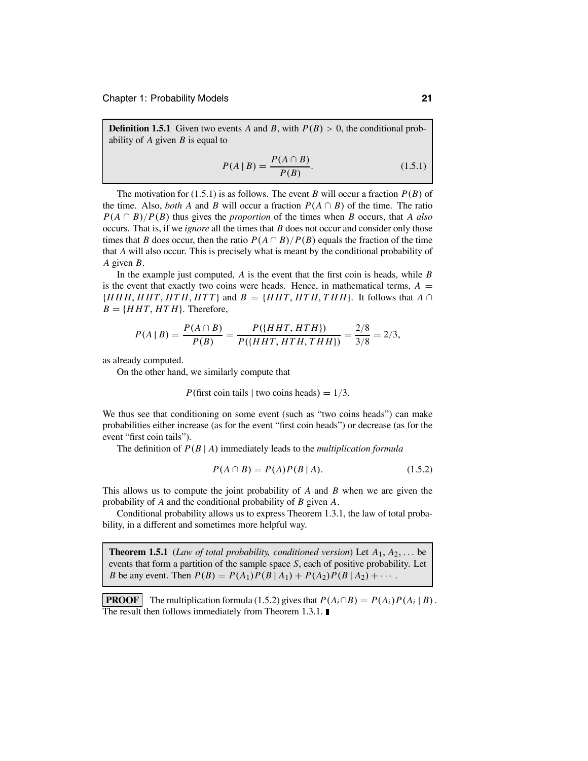**Definition 1.5.1** Given two events *A* and *B*, with  $P(B) > 0$ , the conditional probability of *A* given *B* is equal to

$$
P(A | B) = \frac{P(A \cap B)}{P(B)}.
$$
\n(1.5.1)

The motivation for (1.5.1) is as follows. The event *B* will occur a fraction *P*(*B*) of the time. Also, *both A* and *B* will occur a fraction  $P(A \cap B)$  of the time. The ratio  $P(A \cap B)/P(B)$  thus gives the *proportion* of the times when *B* occurs, that *A also* occurs. That is, if we *ignore* all the times that *B* does not occur and consider only those times that *B* does occur, then the ratio  $P(A \cap B)/P(B)$  equals the fraction of the time that *A* will also occur. This is precisely what is meant by the conditional probability of *A* given *B*.

In the example just computed, *A* is the event that the first coin is heads, while *B* is the event that exactly two coins were heads. Hence, in mathematical terms,  $A =$  ${HHH, HHT, HTH, HTT}$  and  $B = {HHT, HTH, THH}$ . It follows that  $A \cap$  $B = \{HHT, HTH\}$ . Therefore,

$$
P(A | B) = \frac{P(A \cap B)}{P(B)} = \frac{P(\{HHT, HTH\})}{P(\{HHT, HTH, THH\})} = \frac{2/8}{3/8} = 2/3,
$$

as already computed.

On the other hand, we similarly compute that

*P*(first coin tails | two coins heads) =  $1/3$ .

We thus see that conditioning on some event (such as "two coins heads") can make probabilities either increase (as for the event "first coin heads") or decrease (as for the event "first coin tails").

The definition of *<sup>P</sup>*(*<sup>B</sup>* <sup>|</sup> *<sup>A</sup>*) immediately leads to the *multiplication formula*

$$
P(A \cap B) = P(A)P(B \mid A). \tag{1.5.2}
$$

This allows us to compute the joint probability of *A* and *B* when we are given the probability of *A* and the conditional probability of *B* given *A*.

Conditional probability allows us to express Theorem 1.3.1, the law of total probability, in a different and sometimes more helpful way.

**Theorem 1.5.1** (*Law of total probability, conditioned version*) Let *A*1, *A*2,... be events that form a partition of the sample space *S*, each of positive probability. Let *B* be any event. Then  $P(B) = P(A_1)P(B|A_1) + P(A_2)P(B|A_2) + \cdots$ .

**PROOF** The multiplication formula (1.5.2) gives that  $P(A_i \cap B) = P(A_i)P(A_i | B)$ . The result then follows immediately from Theorem 1.3.1.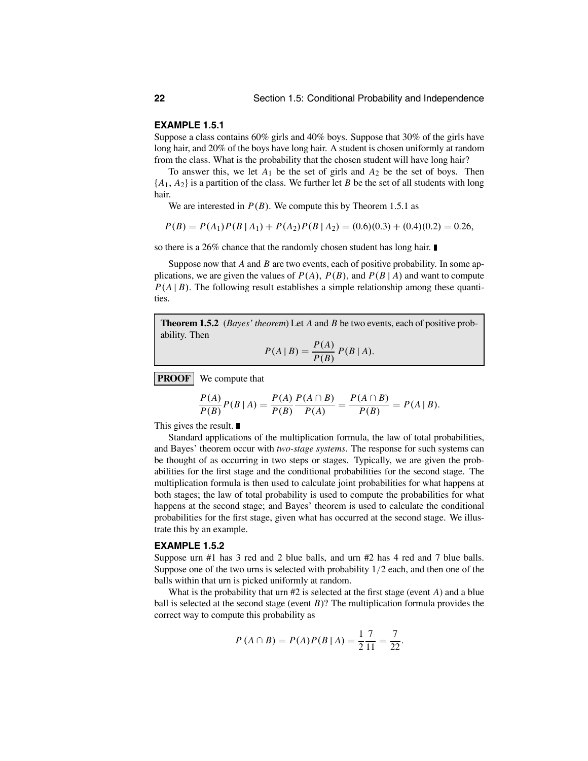#### **EXAMPLE 1.5.1**

Suppose a class contains 60% girls and 40% boys. Suppose that 30% of the girls have long hair, and 20% of the boys have long hair. A student is chosen uniformly at random from the class. What is the probability that the chosen student will have long hair?

To answer this, we let *A*<sup>1</sup> be the set of girls and *A*<sup>2</sup> be the set of boys. Then {*A*1, *<sup>A</sup>*2} is a partition of the class. We further let *<sup>B</sup>* be the set of all students with long hair.

We are interested in  $P(B)$ . We compute this by Theorem 1.5.1 as

$$
P(B) = P(A_1)P(B|A_1) + P(A_2)P(B|A_2) = (0.6)(0.3) + (0.4)(0.2) = 0.26,
$$

so there is a 26% chance that the randomly chosen student has long hair.

Suppose now that *A* and *B* are two events, each of positive probability. In some applications, we are given the values of  $P(A)$ ,  $P(B)$ , and  $P(B|A)$  and want to compute  $P(A | B)$ . The following result establishes a simple relationship among these quantities.

**Theorem 1.5.2** (*Bayes' theorem*) Let *A* and *B* be two events, each of positive probability. Then

$$
P(A | B) = \frac{P(A)}{P(B)} P(B | A).
$$

**PROOF** We compute that

$$
\frac{P(A)}{P(B)}P(B \mid A) = \frac{P(A)}{P(B)}\frac{P(A \cap B)}{P(A)} = \frac{P(A \cap B)}{P(B)} = P(A \mid B).
$$

This gives the result.

Standard applications of the multiplication formula, the law of total probabilities, and Bayes' theorem occur with *two-stage systems*. The response for such systems can be thought of as occurring in two steps or stages. Typically, we are given the probabilities for the first stage and the conditional probabilities for the second stage. The multiplication formula is then used to calculate joint probabilities for what happens at both stages; the law of total probability is used to compute the probabilities for what happens at the second stage; and Bayes' theorem is used to calculate the conditional probabilities for the first stage, given what has occurred at the second stage. We illustrate this by an example.

#### **EXAMPLE 1.5.2**

Suppose urn #1 has 3 red and 2 blue balls, and urn #2 has 4 red and 7 blue balls. Suppose one of the two urns is selected with probability 1/2 each, and then one of the balls within that urn is picked uniformly at random.

What is the probability that urn #2 is selected at the first stage (event *A*) and a blue ball is selected at the second stage (event *B*)? The multiplication formula provides the correct way to compute this probability as

$$
P(A \cap B) = P(A)P(B \mid A) = \frac{1}{2} \frac{7}{11} = \frac{7}{22}.
$$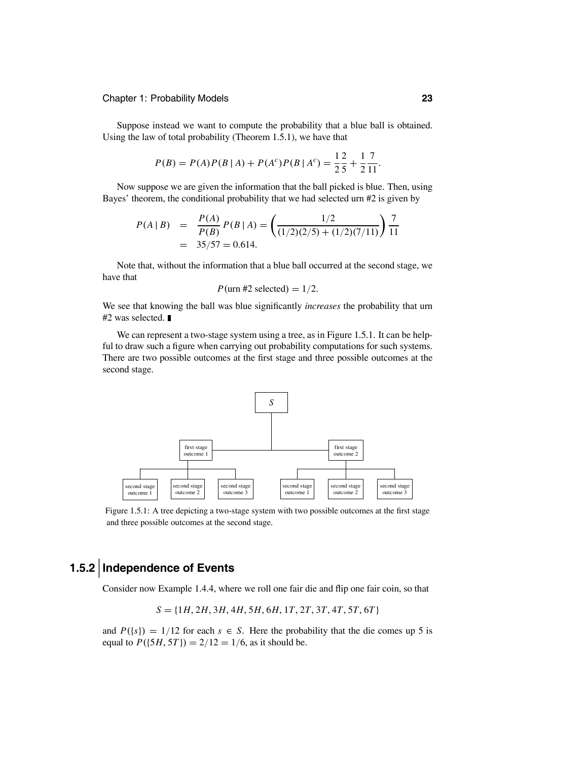Suppose instead we want to compute the probability that a blue ball is obtained. Using the law of total probability (Theorem 1.5.1), we have that

$$
P(B) = P(A)P(B \mid A) + P(A^c)P(B \mid A^c) = \frac{1}{2}\frac{2}{5} + \frac{1}{2}\frac{7}{11}.
$$

Now suppose we are given the information that the ball picked is blue. Then, using Bayes' theorem, the conditional probability that we had selected urn #2 is given by

$$
P(A | B) = \frac{P(A)}{P(B)} P(B | A) = \left(\frac{1/2}{(1/2)(2/5) + (1/2)(7/11)}\right) \frac{7}{11}
$$
  
= 35/57 = 0.614.

Note that, without the information that a blue ball occurred at the second stage, we have that

$$
P(\text{urn #2 selected}) = 1/2.
$$

We see that knowing the ball was blue significantly *increases* the probability that urn #2 was selected. ■

We can represent a two-stage system using a tree, as in Figure 1.5.1. It can be helpful to draw such a figure when carrying out probability computations for such systems. There are two possible outcomes at the first stage and three possible outcomes at the second stage.



Figure 1.5.1: A tree depicting a two-stage system with two possible outcomes at the first stage and three possible outcomes at the second stage.

### **1.5.2 Independence of Events**

Consider now Example 1.4.4, where we roll one fair die and flip one fair coin, so that

 $S = \{1H, 2H, 3H, 4H, 5H, 6H, 1T, 2T, 3T, 4T, 5T, 6T\}$ 

and  $P({s}) = 1/12$  for each  $s \in S$ . Here the probability that the die comes up 5 is equal to  $P({5H, 5T}) = 2/12 = 1/6$ , as it should be.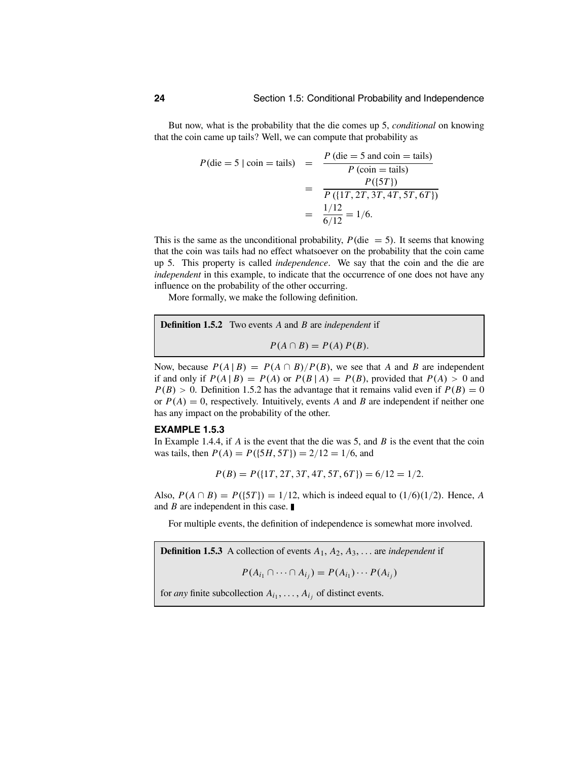But now, what is the probability that the die comes up 5, *conditional* on knowing that the coin came up tails? Well, we can compute that probability as

$$
P(\text{die} = 5 \mid \text{coin} = \text{tails}) = \frac{P(\text{die} = 5 \text{ and coin} = \text{tails})}{P(\text{coin} = \text{tails})}
$$

$$
= \frac{P(\{5T\})}{P(\{1T, 2T, 3T, 4T, 5T, 6T\})}
$$

$$
= \frac{1/12}{6/12} = 1/6.
$$

This is the same as the unconditional probability,  $P$ (die = 5). It seems that knowing that the coin was tails had no effect whatsoever on the probability that the coin came up 5. This property is called *independence*. We say that the coin and the die are *independent* in this example, to indicate that the occurrence of one does not have any influence on the probability of the other occurring.

More formally, we make the following definition.

| <b>Definition 1.5.2</b> Two events A and B are <i>independent</i> if                                                                                                     |
|--------------------------------------------------------------------------------------------------------------------------------------------------------------------------|
| $P(A \cap B) = P(A) P(B).$                                                                                                                                               |
| Now, because $P(A   B) = P(A \cap B)/P(B)$ , we see that A and B are independent<br>if and only if $P(A   B) = P(A)$ or $P(B   A) = P(B)$ , provided that $P(A) > 0$ and |

if and only if  $P(A | B) = P(A)$  or  $P(B | A) = P(B)$ , provided that  $P(A) > 0$  and  $P(B) > 0$ . Definition 1.5.2 has the advantage that it remains valid even if  $P(B) = 0$ or  $P(A) = 0$ , respectively. Intuitively, events A and B are independent if neither one has any impact on the probability of the other.

#### **EXAMPLE 1.5.3**

In Example 1.4.4, if *A* is the event that the die was 5, and *B* is the event that the coin was tails, then  $P(A) = P({5H, 5T}) = 2/12 = 1/6$ , and

$$
P(B) = P({1T, 2T, 3T, 4T, 5T, 6T}) = 6/12 = 1/2.
$$

Also,  $P(A \cap B) = P({5T}) = 1/12$ , which is indeed equal to  $(1/6)(1/2)$ . Hence, *A* and *B* are independent in this case.

For multiple events, the definition of independence is somewhat more involved.

**Definition 1.5.3** A collection of events *A*1, *A*2, *A*3,... are *independent* if

$$
P(A_{i_1} \cap \cdots \cap A_{i_j}) = P(A_{i_1}) \cdots P(A_{i_j})
$$

for *any* finite subcollection  $A_{i_1}, \ldots, A_{i_j}$  of distinct events.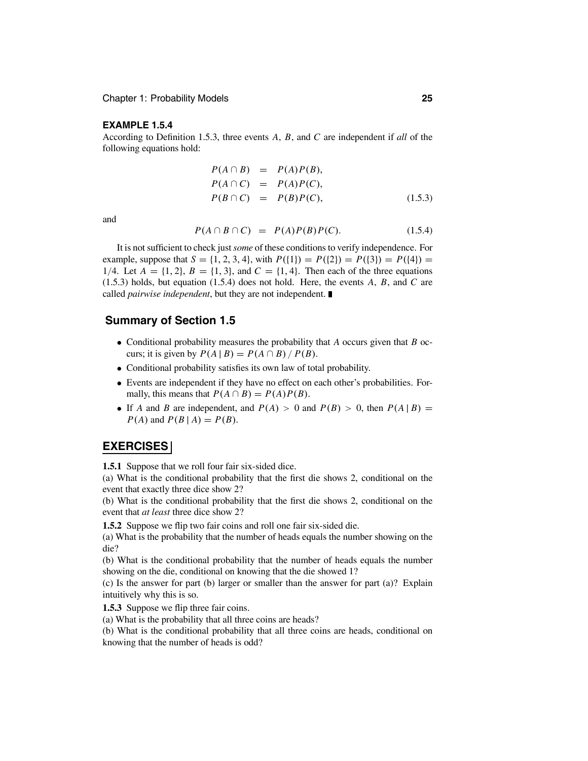#### **EXAMPLE 1.5.4**

According to Definition 1.5.3, three events *A*, *B*, and *C* are independent if *all* of the following equations hold:

$$
P(A \cap B) = P(A)P(B),
$$
  
\n
$$
P(A \cap C) = P(A)P(C),
$$
  
\n
$$
P(B \cap C) = P(B)P(C),
$$
\n(1.5.3)

and

$$
P(A \cap B \cap C) = P(A)P(B)P(C). \qquad (1.5.4)
$$

It is not sufficient to check just*some* of these conditions to verify independence. For example, suppose that  $S = \{1, 2, 3, 4\}$ , with  $P(\{1\}) = P(\{2\}) = P(\{3\}) = P(\{4\}) =$ 1/4. Let  $A = \{1, 2\}$ ,  $B = \{1, 3\}$ , and  $C = \{1, 4\}$ . Then each of the three equations (1.5.3) holds, but equation (1.5.4) does not hold. Here, the events *A*, *B*, and *C* are called *pairwise independent*, but they are not independent.

#### **Summary of Section 1.5**

- Conditional probability measures the probability that *<sup>A</sup>* occurs given that *<sup>B</sup>* occurs; it is given by  $P(A | B) = P(A \cap B) / P(B)$ .
- Conditional probability satisfies its own law of total probability.
- Events are independent if they have no effect on each other's probabilities. Formally, this means that  $P(A \cap B) = P(A)P(B)$ .
- If *A* and *B* are independent, and  $P(A) > 0$  and  $P(B) > 0$ , then  $P(A | B) =$ *P*(*A*) and  $P(B | A) = P(B)$ .

#### **EXERCISES**

**1.5.1** Suppose that we roll four fair six-sided dice.

(a) What is the conditional probability that the first die shows 2, conditional on the event that exactly three dice show 2?

(b) What is the conditional probability that the first die shows 2, conditional on the event that *at least* three dice show 2?

**1.5.2** Suppose we flip two fair coins and roll one fair six-sided die.

(a) What is the probability that the number of heads equals the number showing on the die?

(b) What is the conditional probability that the number of heads equals the number showing on the die, conditional on knowing that the die showed 1?

(c) Is the answer for part (b) larger or smaller than the answer for part (a)? Explain intuitively why this is so.

**1.5.3** Suppose we flip three fair coins.

(a) What is the probability that all three coins are heads?

(b) What is the conditional probability that all three coins are heads, conditional on knowing that the number of heads is odd?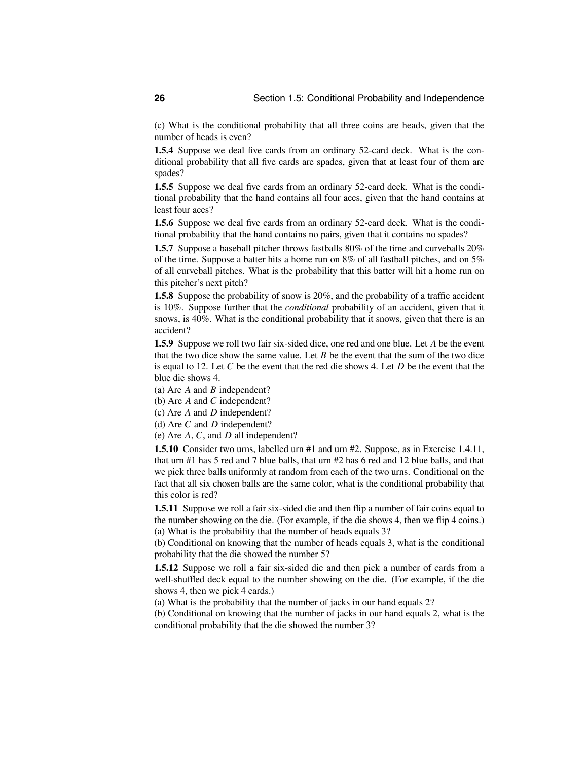(c) What is the conditional probability that all three coins are heads, given that the number of heads is even?

**1.5.4** Suppose we deal five cards from an ordinary 52-card deck. What is the conditional probability that all five cards are spades, given that at least four of them are spades?

**1.5.5** Suppose we deal five cards from an ordinary 52-card deck. What is the conditional probability that the hand contains all four aces, given that the hand contains at least four aces?

**1.5.6** Suppose we deal five cards from an ordinary 52-card deck. What is the conditional probability that the hand contains no pairs, given that it contains no spades?

**1.5.7** Suppose a baseball pitcher throws fastballs 80% of the time and curveballs 20% of the time. Suppose a batter hits a home run on 8% of all fastball pitches, and on 5% of all curveball pitches. What is the probability that this batter will hit a home run on this pitcher's next pitch?

**1.5.8** Suppose the probability of snow is 20%, and the probability of a traffic accident is 10%. Suppose further that the *conditional* probability of an accident, given that it snows, is 40%. What is the conditional probability that it snows, given that there is an accident?

**1.5.9** Suppose we roll two fair six-sided dice, one red and one blue. Let *A* be the event that the two dice show the same value. Let *B* be the event that the sum of the two dice is equal to 12. Let *C* be the event that the red die shows 4. Let *D* be the event that the blue die shows 4.

(a) Are *A* and *B* independent?

(b) Are *A* and *C* independent?

(c) Are *A* and *D* independent?

(d) Are *C* and *D* independent?

(e) Are *A*, *C*, and *D* all independent?

**1.5.10** Consider two urns, labelled urn #1 and urn #2. Suppose, as in Exercise 1.4.11, that urn #1 has 5 red and 7 blue balls, that urn #2 has 6 red and 12 blue balls, and that we pick three balls uniformly at random from each of the two urns. Conditional on the fact that all six chosen balls are the same color, what is the conditional probability that this color is red?

**1.5.11** Suppose we roll a fair six-sided die and then flip a number of fair coins equal to the number showing on the die. (For example, if the die shows 4, then we flip 4 coins.) (a) What is the probability that the number of heads equals 3?

(b) Conditional on knowing that the number of heads equals 3, what is the conditional probability that the die showed the number 5?

**1.5.12** Suppose we roll a fair six-sided die and then pick a number of cards from a well-shuffled deck equal to the number showing on the die. (For example, if the die shows 4, then we pick 4 cards.)

(a) What is the probability that the number of jacks in our hand equals 2?

(b) Conditional on knowing that the number of jacks in our hand equals 2, what is the conditional probability that the die showed the number 3?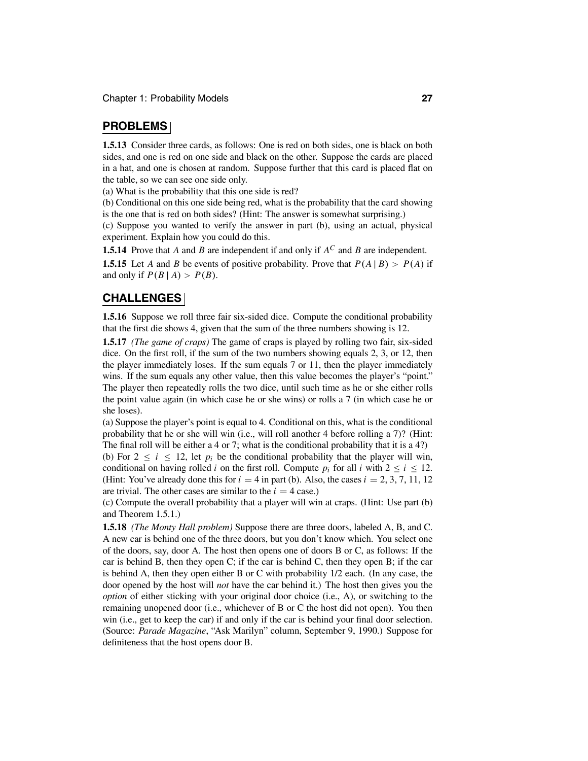#### **PROBLEMS**

**1.5.13** Consider three cards, as follows: One is red on both sides, one is black on both sides, and one is red on one side and black on the other. Suppose the cards are placed in a hat, and one is chosen at random. Suppose further that this card is placed flat on the table, so we can see one side only.

(a) What is the probability that this one side is red?

(b) Conditional on this one side being red, what is the probability that the card showing is the one that is red on both sides? (Hint: The answer is somewhat surprising.)

(c) Suppose you wanted to verify the answer in part (b), using an actual, physical experiment. Explain how you could do this.

**1.5.14** Prove that *A* and *B* are independent if and only if *A<sup>C</sup>* and *B* are independent. **1.5.15** Let *A* and *B* be events of positive probability. Prove that  $P(A | B) > P(A)$  if and only if  $P(B | A) > P(B)$ .

#### **CHALLENGES**

**1.5.16** Suppose we roll three fair six-sided dice. Compute the conditional probability that the first die shows 4, given that the sum of the three numbers showing is 12.

**1.5.17** *(The game of craps)* The game of craps is played by rolling two fair, six-sided dice. On the first roll, if the sum of the two numbers showing equals 2, 3, or 12, then the player immediately loses. If the sum equals 7 or 11, then the player immediately wins. If the sum equals any other value, then this value becomes the player's "point." The player then repeatedly rolls the two dice, until such time as he or she either rolls the point value again (in which case he or she wins) or rolls a 7 (in which case he or she loses).

(a) Suppose the player's point is equal to 4. Conditional on this, what is the conditional probability that he or she will win (i.e., will roll another 4 before rolling a 7)? (Hint: The final roll will be either a 4 or 7; what is the conditional probability that it is a 4?)

(b) For  $2 < i < 12$ , let  $p_i$  be the conditional probability that the player will win, conditional on having rolled *i* on the first roll. Compute  $p_i$  for all *i* with  $2 \le i \le 12$ . (Hint: You've already done this for  $i = 4$  in part (b). Also, the cases  $i = 2, 3, 7, 11, 12$ are trivial. The other cases are similar to the  $i = 4$  case.)

(c) Compute the overall probability that a player will win at craps. (Hint: Use part (b) and Theorem 1.5.1.)

**1.5.18** *(The Monty Hall problem)* Suppose there are three doors, labeled A, B, and C. A new car is behind one of the three doors, but you don't know which. You select one of the doors, say, door A. The host then opens one of doors B or C, as follows: If the car is behind B, then they open C; if the car is behind C, then they open B; if the car is behind A, then they open either B or C with probability 1/2 each. (In any case, the door opened by the host will *not* have the car behind it.) The host then gives you the *option* of either sticking with your original door choice (i.e., A), or switching to the remaining unopened door (i.e., whichever of B or C the host did not open). You then win (i.e., get to keep the car) if and only if the car is behind your final door selection. (Source: *Parade Magazine*, "Ask Marilyn" column, September 9, 1990.) Suppose for definiteness that the host opens door B.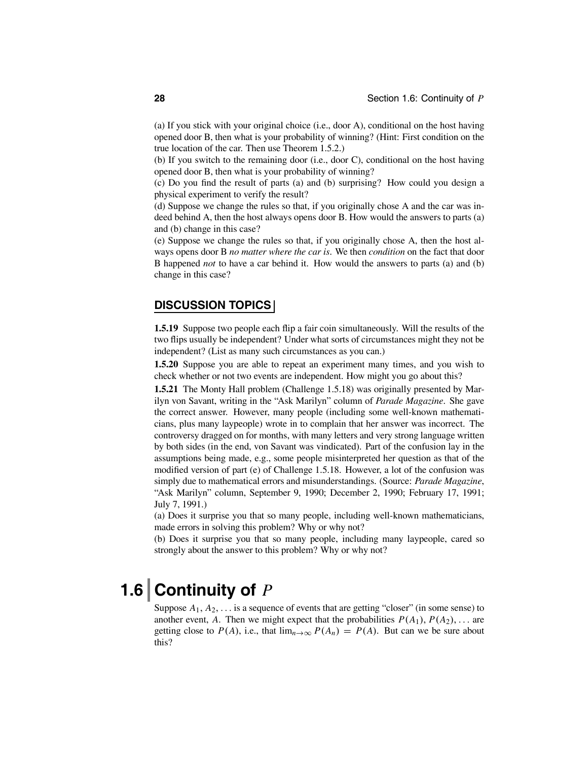(a) If you stick with your original choice (i.e., door A), conditional on the host having opened door B, then what is your probability of winning? (Hint: First condition on the true location of the car. Then use Theorem 1.5.2.)

(b) If you switch to the remaining door (i.e., door C), conditional on the host having opened door B, then what is your probability of winning?

(c) Do you find the result of parts (a) and (b) surprising? How could you design a physical experiment to verify the result?

(d) Suppose we change the rules so that, if you originally chose A and the car was indeed behind A, then the host always opens door B. How would the answers to parts (a) and (b) change in this case?

(e) Suppose we change the rules so that, if you originally chose A, then the host always opens door B *no matter where the car is*. We then *condition* on the fact that door B happened *not* to have a car behind it. How would the answers to parts (a) and (b) change in this case?

#### **DISCUSSION TOPICS**

**1.5.19** Suppose two people each flip a fair coin simultaneously. Will the results of the two flips usually be independent? Under what sorts of circumstances might they not be independent? (List as many such circumstances as you can.)

**1.5.20** Suppose you are able to repeat an experiment many times, and you wish to check whether or not two events are independent. How might you go about this?

**1.5.21** The Monty Hall problem (Challenge 1.5.18) was originally presented by Marilyn von Savant, writing in the "Ask Marilyn" column of *Parade Magazine*. She gave the correct answer. However, many people (including some well-known mathematicians, plus many laypeople) wrote in to complain that her answer was incorrect. The controversy dragged on for months, with many letters and very strong language written by both sides (in the end, von Savant was vindicated). Part of the confusion lay in the assumptions being made, e.g., some people misinterpreted her question as that of the modified version of part (e) of Challenge 1.5.18. However, a lot of the confusion was simply due to mathematical errors and misunderstandings. (Source: *Parade Magazine*, "Ask Marilyn" column, September 9, 1990; December 2, 1990; February 17, 1991; July 7, 1991.)

(a) Does it surprise you that so many people, including well-known mathematicians, made errors in solving this problem? Why or why not?

(b) Does it surprise you that so many people, including many laypeople, cared so strongly about the answer to this problem? Why or why not?

### **1.6 Continuity of** *P*

Suppose  $A_1, A_2, \ldots$  is a sequence of events that are getting "closer" (in some sense) to another event, *A*. Then we might expect that the probabilities  $P(A_1), P(A_2), \ldots$  are getting close to  $P(A)$ , i.e., that  $\lim_{n\to\infty} P(A_n) = P(A)$ . But can we be sure about this?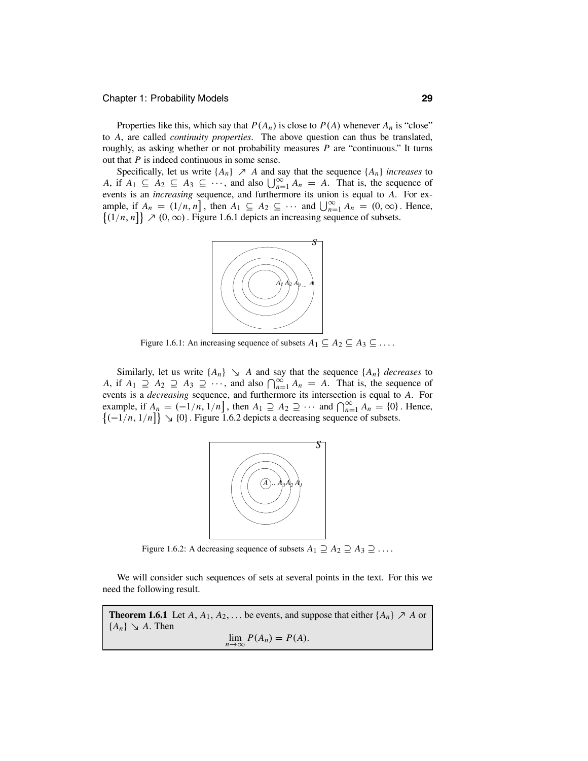Properties like this, which say that  $P(A_n)$  is close to  $P(A)$  whenever  $A_n$  is "close" to *A*, are called *continuity properties*. The above question can thus be translated, roughly, as asking whether or not probability measures *P* are "continuous." It turns out that *P* is indeed continuous in some sense.

Specifically, let us write  $\{A_n\}$   $\nearrow$  *A* and say that the sequence  $\{A_n\}$  *increases* to *A*, if  $A_1 \subseteq A_2 \subseteq A_3 \subseteq \cdots$ , and also  $\bigcup_{n=1}^{\infty} A_n = A$ . That is, the sequence of events is an *increasing* sequence, and furthermore its union is equal to *A*. For example, if  $A_n = (1/n, n]$ , then  $A_1 \subseteq A_2 \subseteq \cdots$  and  $\bigcup_{n=1}^{\infty} A_n = (0, \infty)$ . Hence,  $\{(1/n, n]\}$   $\geq$   $(0, \infty)$ . Figure 1.6.1 depicts an increasing sequence of subsets.



Figure 1.6.1: An increasing sequence of subsets  $A_1 \subseteq A_2 \subseteq A_3 \subseteq \ldots$ 

Similarly, let us write  $\{A_n\}$   $\searrow$  *A* and say that the sequence  $\{A_n\}$  *decreases* to *A*, if  $A_1 \supseteq A_2 \supseteq A_3 \supseteqeq \cdots$ , and also  $\bigcap_{n=1}^{\infty} A_n = A$ . That is, the sequence of events is a *decreasing* sequence, and furthermore its intersection is equal to *A*. For example, if  $A_n = (-1/n, 1/n]$ , then  $A_1 \supseteq A_2 \supseteqeqcdots$  and  $\bigcap_{n=1}^{\infty} A_n = \{0\}$ . Hence,  $\{(-1/n, 1/n]\} \searrow \{0\}$ . Figure 1.6.2 depicts a decreasing sequence of subsets.



Figure 1.6.2: A decreasing sequence of subsets  $A_1 \supseteq A_2 \supseteq A_3 \supseteq \dots$ 

We will consider such sequences of sets at several points in the text. For this we need the following result.

**Theorem 1.6.1** Let  $A$ ,  $A_1$ ,  $A_2$ , ... be events, and suppose that either  $\{A_n\}$   $\nearrow$   $A$  or  ${A_n} \searrow A$ . Then

$$
\lim_{n\to\infty}P(A_n)=P(A).
$$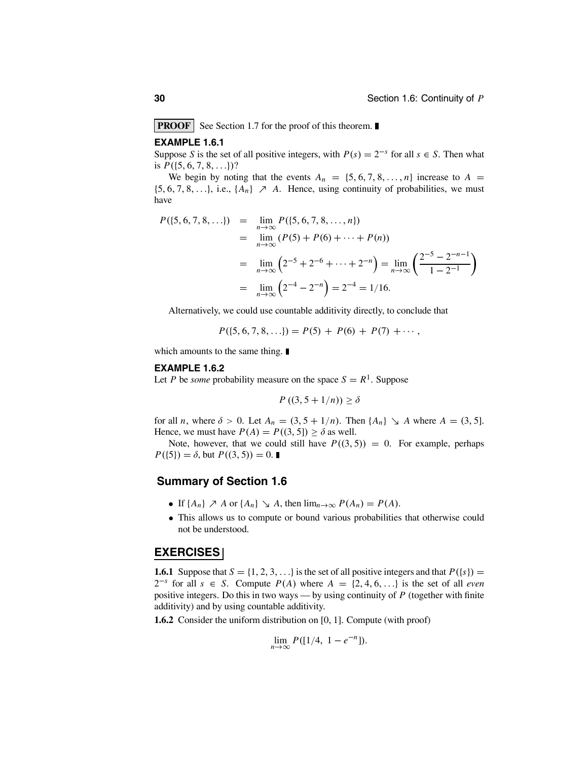**PROOF** See Section 1.7 for the proof of this theorem.

#### **EXAMPLE 1.6.1**

Suppose *S* is the set of all positive integers, with  $P(s) = 2^{-s}$  for all  $s \in S$ . Then what is  $P({5, 6, 7, 8, \ldots})$ ?

We begin by noting that the events  $A_n = \{5, 6, 7, 8, \ldots, n\}$  increase to  $A =$  ${5, 6, 7, 8, \ldots}$ , i.e.,  ${A_n} \nearrow A$ . Hence, using continuity of probabilities, we must have

$$
P(\{5, 6, 7, 8, \ldots\}) = \lim_{n \to \infty} P(\{5, 6, 7, 8, \ldots, n\})
$$
  
= 
$$
\lim_{n \to \infty} (P(5) + P(6) + \cdots + P(n))
$$
  
= 
$$
\lim_{n \to \infty} (2^{-5} + 2^{-6} + \cdots + 2^{-n}) = \lim_{n \to \infty} \left(\frac{2^{-5} - 2^{-n-1}}{1 - 2^{-1}}\right)
$$
  
= 
$$
\lim_{n \to \infty} (2^{-4} - 2^{-n}) = 2^{-4} = 1/16.
$$

Alternatively, we could use countable additivity directly, to conclude that

$$
P({5, 6, 7, 8, \ldots}) = P(5) + P(6) + P(7) + \cdots,
$$

which amounts to the same thing.

#### **EXAMPLE 1.6.2**

Let *P* be *some* probability measure on the space  $S = R<sup>1</sup>$ . Suppose

$$
P((3,5+1/n)) \ge \delta
$$

for all *n*, where  $\delta > 0$ . Let  $A_n = (3, 5 + 1/n)$ . Then  $\{A_n\} \searrow A$  where  $A = (3, 5]$ . Hence, we must have  $P(A) = P((3, 5]) \ge \delta$  as well.

Note, however, that we could still have  $P((3, 5)) = 0$ . For example, perhaps  $P({5}) = \delta$ , but  $P({(3, 5)}) = 0$ .

#### **Summary of Section 1.6**

- If  $\{A_n\}$   $\geq$  *A* or  $\{A_n\}$   $\searrow$  *A*, then  $\lim_{n\to\infty} P(A_n) = P(A)$ .
- This allows us to compute or bound various probabilities that otherwise could not be understood.

#### **EXERCISES**

**1.6.1** Suppose that  $S = \{1, 2, 3, ...\}$  is the set of all positive integers and that  $P(\{s\}) =$ 2<sup> $−s$ </sup> for all  $s \in S$ . Compute  $P(A)$  where  $A = \{2, 4, 6, ...\}$  is the set of all *even* positive integers. Do this in two ways — by using continuity of *P* (together with finite additivity) and by using countable additivity.

**1.6.2** Consider the uniform distribution on [0, 1]. Compute (with proof)

$$
\lim_{n \to \infty} P([1/4, 1 - e^{-n}]).
$$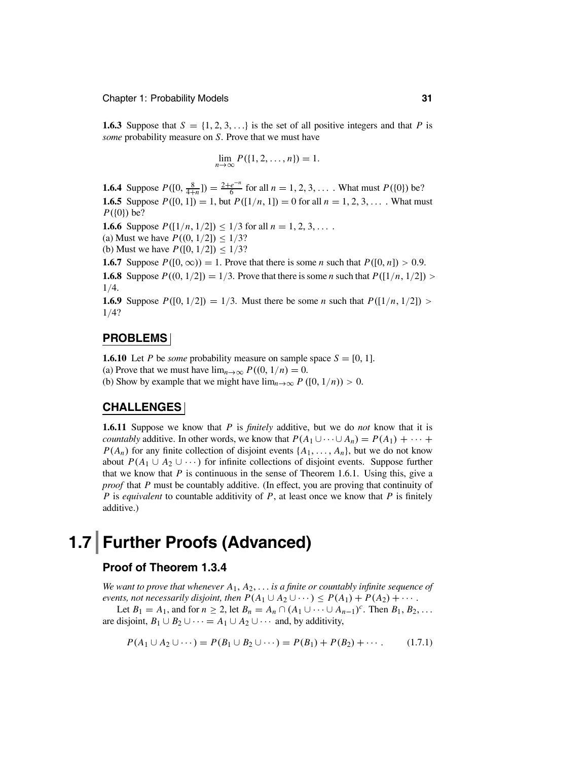**1.6.3** Suppose that  $S = \{1, 2, 3, \ldots\}$  is the set of all positive integers and that P is *some* probability measure on *S*. Prove that we must have

$$
\lim_{n\to\infty} P(\{1,2,\ldots,n\})=1.
$$

**1.6.4** Suppose  $P([0, \frac{8}{4+n}]) = \frac{2+e^{-n}}{6}$  for all  $n = 1, 2, 3, ...$  What must  $P({0})$  be? **1.6.5** Suppose  $P([0, 1]) = 1$ , but  $P([1/n, 1]) = 0$  for all  $n = 1, 2, 3, \ldots$ . What must *<sup>P</sup>*({0}) be? **1.6.6** Suppose  $P([1/n, 1/2]) \le 1/3$  for all  $n = 1, 2, 3, \ldots$ . (a) Must we have  $P((0, 1/2]) \le 1/3$ ?

(b) Must we have  $P([0, 1/2]) \le 1/3$ ?

**1.6.7** Suppose  $P([0, \infty)) = 1$ . Prove that there is some *n* such that  $P([0, n]) > 0.9$ .

**1.6.8** Suppose  $P((0, 1/2]) = 1/3$ . Prove that there is some *n* such that  $P([1/n, 1/2]) > 1/3$ . 1/4.

**1.6.9** Suppose  $P([0, 1/2]) = 1/3$ . Must there be some *n* such that  $P([1/n, 1/2]) >$ 1/4?

#### **PROBLEMS**

**1.6.10** Let *P* be *some* probability measure on sample space  $S = [0, 1]$ . (a) Prove that we must have  $\lim_{n\to\infty} P((0, 1/n) = 0$ . (b) Show by example that we might have  $\lim_{n\to\infty} P([0, 1/n)) > 0$ .

#### **CHALLENGES**

**1.6.11** Suppose we know that *P* is *finitely* additive, but we do *not* know that it is *countably* additive. In other words, we know that  $P(A_1 \cup \cdots \cup A_n) = P(A_1) + \cdots +$  $P(A_n)$  for any finite collection of disjoint events  $\{A_1, \ldots, A_n\}$ , but we do not know about  $P(A_1 \cup A_2 \cup \cdots)$  for infinite collections of disjoint events. Suppose further that we know that  $P$  is continuous in the sense of Theorem 1.6.1. Using this, give a *proof* that *P* must be countably additive. (In effect, you are proving that continuity of *P* is *equivalent* to countable additivity of *P*, at least once we know that *P* is finitely additive.)

# **1.7 Further Proofs (Advanced)**

#### **Proof of Theorem 1.3.4**

*We want to prove that whenever A*1, *A*2,... *is a finite or countably infinite sequence of events, not necessarily disjoint, then*  $P(A_1 \cup A_2 \cup \cdots) \leq P(A_1) + P(A_2) + \cdots$ .

Let *B*<sub>1</sub> = *A*<sub>1</sub>, and for *n* ≥ 2, let *B<sub>n</sub>* = *A<sub>n</sub>* ∩ (*A*<sub>1</sub> ∪ · · · ∪ *A<sub>n−1</sub>*)<sup>*c*</sup>. Then *B*<sub>1</sub>, *B*<sub>2</sub>, ... are disjoint,  $B_1 \cup B_2 \cup \cdots = A_1 \cup A_2 \cup \cdots$  and, by additivity,

$$
P(A_1 \cup A_2 \cup \cdots) = P(B_1 \cup B_2 \cup \cdots) = P(B_1) + P(B_2) + \cdots. \tag{1.7.1}
$$